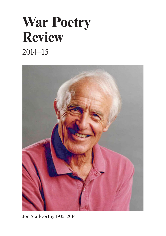# **War Poetry Review** 2014–15



Jon Stallworthy 1935–2014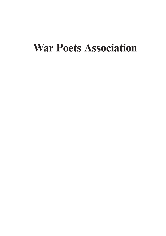## **War Poets Association**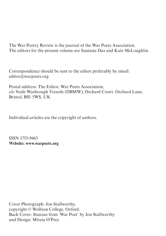The War Poetry Review is the journal of the War Poets Association. The editors for the present volume are Santanu Das and Kate McLoughlin.

Correspondence should be sent to the editor preferably by email: editor@warpoets.org

Postal address: The Editor, War Poets Association, c/o Veale Wasbrough Vizards (DBMW), Orchard Court, Orchard Lane, Bristol, BS1 5WS, UK

Individual articles are the copyright of authors.

ISSN 1753-9463 **Website: www.warpoets.org**

Cover Photograph: Jon Stallworthy, copyright © Wolfson College, Oxford. Back Cover: Stanzas from 'War Poet' by Jon Stallworthy and Design: Mireia O'Prey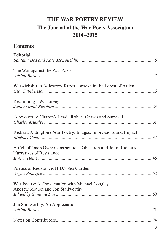### **THE WAR POETRY REVIEW The Journal of the War Poets Association 2014–2015**

#### **Contents**

| Editorial                                                                                  |  |
|--------------------------------------------------------------------------------------------|--|
| The War against the War Poets                                                              |  |
| Warwickshire's Adlestrop: Rupert Brooke in the Forest of Arden                             |  |
| Reclaiming F.W. Harvey                                                                     |  |
| 'A revolver to Charon's Head': Robert Graves and Survival                                  |  |
| Richard Aldington's War Poetry: Images, Impressions and Impact                             |  |
| A Cell of One's Own: Conscientious Objection and John Rodker's<br>Narratives of Resistance |  |
| Poetics of Resistance: H.D.'s Sea Garden                                                   |  |
| War Poetry: A Conversation with Michael Longley,<br>Andrew Motion and Jon Stallworthy      |  |
| Jon Stallworthy: An Appreciation                                                           |  |
|                                                                                            |  |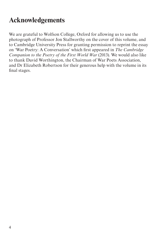### **Acknowledgements**

We are grateful to Wolfson College, Oxford for allowing us to use the photograph of Professor Jon Stallworthy on the cover of this volume, and to Cambridge University Press for granting permission to reprint the essay on 'War Poetry: A Conversation' which first appeared in *The Cambridge Companion to the Poetry of the First World War* (2013). We would also like to thank David Worthington, the Chairman of War Poets Association, and Dr Elizabeth Robertson for their generous help with the volume in its final stages.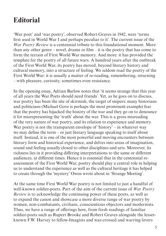### **Editorial**

'War poet' and 'war poetry', observed Robert Graves in 1942, were 'terms first used in World War I and perhaps peculiar to it'. The current issue of the *War Poetry Review* is a centennial tribute to this foundational moment. More than any other genre – novel, drama or film – it is the poetry that has come to form the terrain of First World War memory. And more: it has provided the template for the poetry of all future wars. A hundred years after the outbreak of the First World War, its poetry has moved, beyond literary history and cultural memory, into a structure of feeling. We seldom read the poetry of the First World War: it is usually a matter of re-reading, remembering, returning – with pleasure, curiosity, sometimes even resistance.

In the opening essay, Adrian Barlow notes that 'it seems strange that this year of all years the War Poets should need friends'. Yet, as he goes on to discuss, war poetry has been the site of skirmish, the target of snipers: many historians and politicians (Michael Gove is perhaps the most prominent example) fear that the poetry has hijacked the history of the war and they go on to denounce it for misrepresenting the 'truth' about the war. This is a gross misreading of the very nature of war poetry, and its relation to experience and memory. War poetry is not the transparent envelope of 'history' – in whatever way we may define the term – or just literary language speaking to itself about itself. Instead, it is one of the most powerful and moving encounters between literary form and historical experience, and delves into areas of imagination, sound and feeling usually closed to other disciplines and arts. Moreover, its richness lies in it providing differing interpretations to the same or different audiences, at different times. Hence it is essential that in the centennial reassessment of the First World War, poetry should play a central role in helping us to understand the experience as well as the cultural heritage it has helped to create through the 'mystery' Owen wrote about in 'Strange Meeting'.

At the same time First World War poetry is not limited to just a handful of well-known soldier-poets. Part of the aim of the current issue of *War Poetry Review* is to acknowledge the continuing power of these poets, as well as to expand the canon and showcase a more diverse range of war poetry by women, non-combatants, civilians, conscientious objectors and modernists. Thus, we have a range of offerings here, from fresh readings of familiar soldier-poets such as Rupert Brooke and Robert Graves alongside the lesserknown F.W. Harvey to fellow-Imagists and war-crossed and warring lovers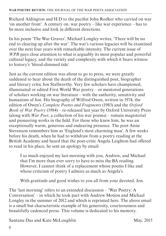Richard Aldington and H.D to the pacifist John Rodker who carried on war 'on another front'. A century on, war poetry – like war experience – has to be more inclusive and look in different directions.

In his poem 'The War Graves', Michael Longley writes, 'There will be no end to clearing up after the war'. The war's various legacies will be examined over the next four years with remarkable intensity. The current issue of *WPR* pays close attention to what is arguably its most popular and powerful cultural legacy, and the variety and complexity with which it bears witness to history's 'blood-dimmed tide'.

Just as the current edition was about to go to press, we were greatly saddened to hear about the death of the distinguished poet, biographer and literary critic Jon Stallworthy. Very few scholars have championed, illuminated or edited First World War poetry – or mentored generations of scholars working on war literature – with the authority, sensitivity and humanism of Jon. His biography of Wilfred Owen, written in 1974, the edition of Owen's *Complete Poems and Fragments* (1983) and the *Oxford Book of War Poetry* (1984) – re-released last year by Oxford University Press (along with *War Poet*, a collection of his war poems) – remain magisterial and pioneering works in the field. For those who knew him, he was an exceptionally warm, generous and endearing presence. The poet Anne Stevenson remembers him as 'England's most charming man'. A few weeks before his death, when he had to withdraw from a poetry reading at the British Academy and heard that the poet-critic Angela Leighton had offered to read in his place, he sent an apology by email:

I so much enjoyed my last morning with you, Andrew, and Michael that I'm more than ever sorry to have to miss the BA reading. However, I cannot think of a replacement whose poems I like and whose criticism of poetry I admire as much as Angela's.

With gratitude and good wishes to you all from your devoted, Jon.

The 'last morning' refers to an extended discussion – 'War Poetry: A Conversation' – in which he took part with Andrew Motion and Michael Longley in the summer of 2012 and which is reprinted here. The above email is a small but characteristic example of his generosity, courteousness and beautifully cadenced prose. This volume is dedicated to his memory.

Santanu Das and Kate McLoughlin May, 2015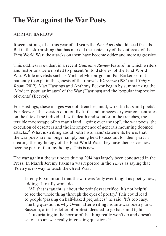### **The War against the War Poets**

#### ADRIAN BARLOW

It seems strange that this year of all years the War Poets should need friends. But in the skirmishing that has marked the centenary of the outbreak of the First World War, the attacks on them have become odder and more aggressive.

This oddness is evident in a recent *Guardian Review* feature<sup>1</sup> in which writers and historians were invited to present 'untold stories' of the First World War. While novelists such as Michael Morpurgo and Pat Barker set out patiently to explain the genesis of their novels *Warhorse* (1982) and *Toby's Room* (2012), Max Hastings and Anthony Beevor began by summarizing the 'Modern popular images' of the War (Hastings) and the 'popular impression of events' (Beevor).

For Hastings, these images were of 'trenches, mud, wire, tin hats and poets'. For Beevor, 'this version of a totally futile and unnecessary war concentrates on the fate of the individual, with death and squalor in the trenches, the terrible moonscape of no man's land, "going over the top", the war poets, the execution of deserters and the incompetence of generals mounting doomed attacks.'2 What is striking about both historians' statements here is that the war poets are no longer simply being held to account for their part in creating the mythology of the First World War: they have themselves now become part of that mythology. This is new.

The war against the war poets during 2014 has largely been conducted in the Press. In March Jeremy Paxman was reported in the *Times* as saying that 'Poetry is no way to teach the Great War':

Jeremy Paxman said that the war was 'only ever taught as poetry now', adding: 'It really won't do.'

'All that is taught is about the pointless sacrifice. It's not helpful to see the whole thing through the eyes of poetry.' This could lead to people 'passing on half-baked prejudices,' he said. 'It's too easy. The big question is why Owen, after writing his anti-war poetry, and Sassoon, after his letter of protest, decided to go back and fight.'

'Luxuriating in the horror of the thing really won't do and doesn't set out to answer really interesting questions.'3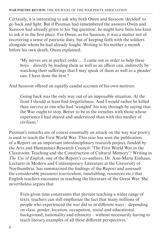Certainly, it is interesting to ask why both Owen and Sassoon 'decided' to go back and fight. But if Paxman had remembered the answers Owen and Sassoon had already given to his 'big question', he might have been less keen to ask it in the first place. For Owen, as for Sassoon, it was a matter not of recovering a sense of patriotic duty, but of keeping faith with the soldiers alongside whom he had already fought. Writing to his mother a month before his own death, Owen explained:

'My nerves are in perfect order … I came out in order to help these boys – directly by leading them as well as an officer can, indirectly by watching their sufferings that I may speak of them as well as a pleader can. I have done the first.'4

And Sassoon offered an equally candid account of his own motives:

Going back was the only way out of an impossible situation. At the front I should at least find forgetfulness. And I would rather be killed than survive as one who had 'wangled' his way through by saying that the War ought to stop. Better to be in the trenches with those whose experience I had shared and understood than with this medley of civilians<sup>5</sup>

Paxman's remarks are of course essentially an attack on the way war poetry is used to teach the First World War. This year has seen the publication of a Report on an important interdisciplinary research project, funded by the Arts and Humanities Research Council: 'The First World War in the Classroom: Teaching and the Construction of Cultural Memory'.6 Writing in *The Use of English*, one of the Report's co-authors, Dr. Ann-Marie Einhaus, Lecturer in Modern and Contemporary Literature at the University of Northumbria, has summarised the findings of the Report and assessed the considerable pressures (curriculum, timetabling, resources etc.) that English teachers encounter in teaching the literature of the Great War. She nevertheless argues that

Even given time constraints that prevent teaching a wider range of texts, teachers can still emphasize the fact that many millions of people who experienced the war did so in different ways – depending on class, gender, location, occupation, social and educational background, nationality and ethnicity – without necessarily having to teach literary examples of all these different perspectives.7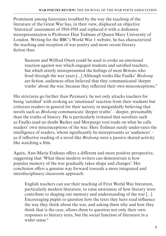Prominent among historians troubled by the way the teaching of the literature of the Great War has, in their view, displaced an objective 'historical' assessment of 1914-1918 and replaced it with a dishonest misrepresentation is Professor Dan Todman of Queen Mary University of London. Writing for the BBC's World War 1 website, he has characterized the teaching and reception of war poetry and more recent literary fiction thus:

Sassoon and Wilfred Owen could be used to evoke an emotional reaction against war which engaged students and satisfied teachers, but which utterly misrepresented the feelings of most Britons who lived through the war years […] Although works like Faulks' *Birdsong*  are fiction, audiences often believed that they communicated 'deeper truths' about the war, because they reflected their own misconceptions.<sup>8</sup>

His strictures go further than Paxman's: he not only attacks teachers for being 'satisfied' with evoking an 'emotional' reaction from their students but criticizes readers in general for their naivety in misguidedly believing that novels such as *Birdsong* communicate 'deeper truths' – deeper, presumably than the truths of history. He is particularly irritated that novelists such as Faulks (and no doubt Barker and Morpurgo too) trade on what he calls readers' own misconceptions of the war. Here Todman surely under-rates the intelligence of readers, whom significantly he misrepresents as 'audiences' – as if reflective reading of a novel like *Birdsong* were a passive shared activity like watching a film.

Again, Ann-Marie Einhaus offers a different and more positive perspective, suggesting that 'What these modern writers can demonstrate is how popular memory of the war gradually takes shape and changes'. Her conclusion offers a genuine way forward towards a more integrated and interdisciplinary classroom approach:

English teachers can use their teaching of First World War literature, particularly modern literature, to raise awareness of how literary texts contribute to shaping our memory and understanding of the war […] Encouraging pupils to question how the texts they have read influence the way they think about the war, and asking them why and how they think that is the case, allows them to question not only their own responses to literary texts, but the social function of literature in a wider sense.<sup>9</sup>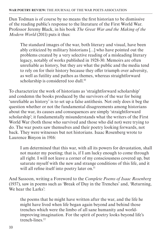Dan Todman is of course by no means the first historian to be dismissive of the reading public's response to the literature of the First World War. Professor Jeremy Black, in his book *The Great War and the Making of the Modern World* (2011) puts it thus:

The standard images of the war, both literary and visual, have been ably criticized by military historians […] who have pointed out the problems created by a very selective reading of a misleading literary legacy, notably of works published in 1928-30. Memoirs are often unreliable as history, but they are what the public and the media tend to rely on for their history because they offer triumph over adversity, as well as futility and pathos as themes, whereas straightforward scholarship is considered too dull.<sup>10</sup>

To characterize the work of historians as 'straightforward scholarship' and condemn the books produced by the survivors of the war for being 'unreliable as history' is to set up a false antithesis. Not only does it beg the question whether or not the fundamental disagreements among historians about the war, its causes and consequences are simply 'straightforward scholarship'; it fundamentally misunderstands what the writers of the First World War (both those who survived and those who did not) were trying to do. The war poets saw themselves and their poetry looking forwards, not back. They were witnesses but not historians. Isaac Rosenberg wrote to Laurence Binyon in 1916:

I am determined that this war, with all its powers for devastation, shall not master my poeting; that is, if I am lucky enough to come through all right. I will not leave a corner of my consciousness covered up, but saturate myself with the new and strange conditions of this life, and it will all refine itself into poetry later on.<sup>11</sup>

And Sassoon, writing a Foreword to the *Complete Poems of Isaac Rosenberg*  (1937), saw in poems such as 'Break of Day in the Trenches' and, 'Returning, We hear the Larks'

the poems that he might have written after the war, and the life he might have lived when life began again beyond and behind those trenches which were the limbo of all sane humanity and worldimproving imagination. For the spirit of poetry looks beyond life's trench-lines<sup>12</sup>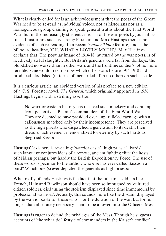What is clearly called for is an acknowledgement that the poets of the Great War need to be re-read as individual voices, not as historians nor as a homogeneous group claiming to speak general truths about the First World War; but in the increasingly strident criticism of the war poets by journaliststurned-historians such as Jeremy Paxman and Max Hastings there is no evidence of such re-reading. In a recent *Sunday Times* feature, under the billboard headline, 'OH, WHAT A LOVELY MYTH',13 Max Hastings declares that 'The popular image of 1914-18, nurtured by the war poets, is of needlessly awful slaughter. But Britain's generals were far from donkeys, the bloodshed no worse than in other wars and the frontline soldier's lot no more terrible.' One would like to know which other wars before 1914-1918 had produced bloodshed (in terms of men killed, if in no other) on such a scale.

It is a curious article, an abridged version of his preface to a new edition of a C. S. Forester novel, *The General*, which originally appeared in 1936. Hastings begins with a striking assertion:

No warrior caste in history has received such mockery and contempt from posterity as Britain's commanders of the First World War. They are deemed to have presided over unparalleled carnage with a callousness matched only by their incompetence. They are perceived as the high priests who dispatched a generation to its death, their dreadful achievement memorialized for eternity by such bards as Siegfried Sassoon.

Hastings' lexis here is revealing: 'warrior caste', 'high priests', 'bards' – such language conjures ideas of a remote, ancient fighting elite: the hosts of Midian perhaps, but hardly the British Expeditionary Force. The use of these words is peculiar to the author: who else has ever called Sassoon a bard? Which poet(s) ever depicted the generals as high priests?

What really offends Hastings is the fact that the full-time soldiers like French, Haig and Rawlinson should have been so impugned by 'cultured citizen soldiers, disdaining the stoicism displayed since time immemorial by professional warriors'. Actually, this sounds more like the disdain displayed by the warrior caste for those who – for the duration of the war, but for no longer than absolutely necessary – had to be allowed into the Officers' Mess.

Hastings is eager to defend the privileges of the Mess. Though he suggests accounts of 'the sybaritic lifestyle of commanders in the Kaiser's conflict'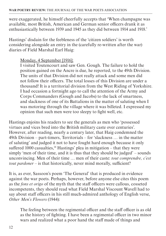were exaggerated, he himself cheerfully accepts that 'When champagne was available, most British, American and German senior officers drank it as enthusiastically between 1939 and 1945 as they did between 1914 and 1918.'

Hastings' disdain for the feebleness of the 'citizen soldiers' is worth considering alongside an entry in the (carefully re-written after the war) diaries of Field Marshal Earl Haig:

#### Monday, 4 September [1916]:

I visited Toutencourt and saw Gen. Gough. The failure to hold the position gained on the Ancre is due, he reported, to the 49th Division. The units of that Division did not really attack and some men did not follow their officers. The total losses of this Division are under a thousand! It is a territorial division from the West Riding of Yorkshire. I had occasion a fortnight ago to call the attention of the Army and Corps Commanders (Gough and Jacobs) to the lack of smartness, and slackness of one of its Battalions in the matter of saluting when I was motoring through the village where it was billeted. I expressed my opinion that such men were too sleepy to fight well, etc.

Hastings enjoins his readers to see the generals as men who 'possessed virtues and vices bred into the British military caste over centuries'. However, after reading, nearly a century later, that Haig condemned the 49th Division – part-timers, Territorials – for 'slackness … in the matter of saluting' and judged it not to have fought hard enough because it only suffered 1000 casualties, $^{14}$  Hastings' plea in mitigation – that they were simply 'men of their time, and it is thus that they should be judged' – sounds unconvincing. Men of their time … men of their caste: *tout comprendre, c'est tout pardoner* – is that historically, never mind morally, sufficient?

It is, as ever, Sassoon's poem 'The General' that is produced in evidence against the war poets. Perhaps, however, before anyone else cites this poem as the *fons et origo* of the myth that the staff officers were callous, cosseted incompetents, they should read what Field Marshal Viscount Wavell had to say about staff officers in his still much-admired anthology of English verse, *Other Men's Flowers* (1944):

The feeling between the regimental officer and the staff officer is as old as the history of fighting. I have been a regimental officer in two minor wars and realized what a poor hand the staff made of things and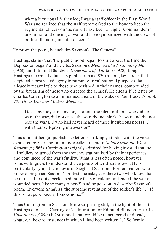what a luxurious life they led; I was a staff officer in the First World War and realized that the staff were worked to the bone to keep the regimental officers on the rails. I have been a Higher Commander in one minor and one major war and have sympathized with the views of both staff and regimental officers.15

To prove the point, he includes Sassoon's 'The General'.

Hastings claims that 'the public mood began to shift about the time the Depression began' and he cites Sassoon's *Memoirs of a Foxhunting Man*  (1928) and Edmund Blunden's *Undertones of War* (also 1928, though Hastings incorrectly dates its publication as 1930) among key books that 'depicted a protracted agony in pursuit of rival national purposes that allegedly meant little to those who perished in their names, compounded by the brutalism of those who directed the armies'. He cites a 1975 letter by Charles Carrington to an unnamed friend in the wake of Paul Fussell's book *The Great War and Modern Memory:*

Does anybody care any longer about the silent millions who did not want the war, did not cause the war, did not shirk the war, and did not lose the war […] who had never heard of these lugubrious poets […] with their self-pitying introversion?

This unidentified (unpublished?) letter is strikingly at odds with the views expressed by Carrington in his excellent memoir, *Soldier from the Wars Returning* (1965). Carrington is rightly admired for having insisted that not all soldiers returned from the trenches traumatised by their experiences and convinced of the war's futility. What is less often noted, however, is his willingness to understand viewpoints other than his own. He is particularly sympathetic towards Siegfried Sassoon. 'For ten readers who know of Siegfried Sassoon's protest,' he asks, 'are there two who know that he returned to duty, performed more feats of valour, and ended the war a wounded hero, like so many others?' And he goes on to describe Sassoon's poem, 'Everyone Sang', as 'the supreme revelation of the soldier's life […] If this is not pure poetry, I know none.'16

Thus Carrington on Sassoon. More surprising still, in the light of the letter Hastings quotes, is Carrington's admiration for Edmund Blunden. He calls *Undertones of War* (1928) 'a book that would be remembered and read, whatever the circumstances in which it had been written [...] So firmly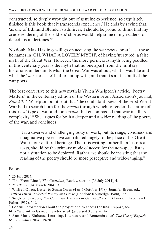constructed, so deeply wrought out of genuine experience, so exquisitely finished is this book that it transcends experience.' He ends by saying that, 'as one of Edmund Blunden's admirers, I should be proud to think that my crude rendering of the soldiers' chorus would help some of my readers to detect his undertones<sup>'17</sup>

No doubt Max Hastings will go on accusing the war poets, or at least those he names in 'OH, WHAT A LOVELY MYTH', of having 'nurtured' a false myth of the Great War. However, the more pernicious myth being peddled in this centenary year is the myth that no one apart from the military historians understands what the Great War was about, what it was like and what the 'warrior caste' had to put up with; and that it's all the fault of the war poets.

The best corrective to this new myth is Vivien Whelpton's article, 'Poetry Matters', in the centenary edition of the Western Front Association's journal, *Stand To!*. Whelpton points out that 'the combatant poets of the First World War had to search both for the *means* through which to render the nature of this 'new' type of war and for a *vision* that encompassed that war in all its complexity'.18 She argues for both a deeper and a wider reading of the poetry of the war, and concludes:

It is a diverse and challenging body of work, but its range, vividness and imaginative power have contributed hugely to the place of the Great War in our cultural heritage. That this writing, rather than historical texts, should be the primary mode of access for the non-specialist is not a situation to be deplored. Rather, we should be insisting that the reading of the poetry should be more perceptive and wide-ranging.19

#### **Notes**

- <sup>1</sup> 26 July 2014.
- <sup>2</sup> 'The Front Lines', *The Guardian*, Review section (26 July 2014), 4.
- <sup>3</sup> *The Times* (14 March 2014), 3.
- <sup>4</sup> Wilfred Owen, Letter to Susan Owen (4 or 5 October 1918), Jennifer Breen, ed., *Wilfred Owen: Selected Poetry and Prose* (London: Routledge, 1988), 165.

<sup>5</sup> Siegfried Sassoon, *The Complete Memoirs of George Sherston* (London: Faber and Faber, 1937), 549.

<sup>6</sup> For full information about the project and to access the final Report, see http://ww1intheclassroom.exeter.ac.uk (accessed 3 July 2014).

<sup>7</sup> Ann-Marie Einhaus, 'Learning, Literature and Remembrance', *The Use of English*, 65.3 (Summer 2014), 19-20.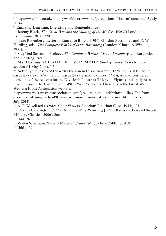<sup>8</sup> http://www.bbc.co.uk/history/worldwars/wwone/perceptions\_01.shtml (accessed 3 July 2014).

<sup>9</sup> Einhaus, 'Learning, Literature and Remembrance'.

<sup>10</sup> Jeremy Black, *The Great War and the Making of the Modern World* (London: Continuum, 2011), 220.

<sup>11</sup> Isaac Rosenberg, Letter to Laurence Binyon [1916], Gordon Bottomley and D. W. Harding, eds., *The Complete Works of Isaac Rosenberg* (London: Chatto & Windus, 1937), 373.

<sup>12</sup> Siegfried Sassoon, 'Preface', *The Complete Works of Isaac Rosenberg*, ed. Bottomley and Harding, ix-x.

<sup>13</sup> Max Hastings, 'OH, WHAT A LOVELY MYTH', *Sunday Times*, News Review section (11 May 2014), 1-3.

<sup>14</sup> Actually the losses of the 49th Division in this action were 1728 men (428 killed), a casualty rate of 30%; the high casualty rate among officers (70%), is now considered to be one of the reasons for the Division's failure at Thiepval. Figures and analysis in 'From Disaster to Triumph – the 49th (West Yorkshire Division) in the Great War': Western Front Association website:

http://www.westernfrontassociation.com/great-war-on-land/britain-allies/1761-fromdisaster-to-triumph-the-49th-west-riding-division-in-the-great-war.html (accessed 3 July 2014).

<sup>15</sup> A. P. Wavell (ed.), *Other Men's Flowers* (London: Jonathan Cape, 1944), 131.

<sup>16</sup> Charles Carrington, *Soldier from the Wars Returning* [1965] (Barnsley: Pen and Sword Military Classics, 2006), 266.

<sup>17</sup> Ibid, 267.

<sup>18</sup> Vivien Whelpton, 'Poetry Matters', *Stand To!* 100 (June 2014), 135-139.

<sup>19</sup> Ibid., 139.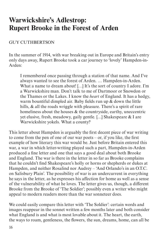### **Warwickshire's Adlestrop: Rupert Brooke in the Forest of Arden**

#### GUY CUTHBERTSON

In the summer of 1914, with war breaking out in Europe and Britain's entry only days away, Rupert Brooke took a car journey to 'lovely' Hampden-in-Arden:

I remembered once passing through a station of that name. And I've always wanted to see the forest of Arden. … Hampden-in-Arden. What a name to dream about! [...] It's the sort of country I adore. I'm a Warwickshire man. Don't talk to me of Dartmoor or Snowdon or the Thames or the Lakes. I know the *heart* of England. It has a hedgy, warm bountiful dimpled air. Baby fields run up & down the little hills, & all the roads wriggle with pleasure. There's a spirit of rare homeliness about the houses  $\&$  the countryside, earthy, uneccentric yet elusive, fresh, meadowy, gaily gentle. […] Shakespeare & I are Warwickshire vokels. What a county!<sup>1</sup>

This letter about Hampden is arguably the first decent piece of war writing to come from the pen of one of our war poets – or, if you like, the first example of how literary this war would be. Just before Britain entered this war, a war in which letter-writing played such a part, Hampden-in-Arden produced a fine letter and one that says a good deal about both Brooke and England. The war is there in the letter in so far as Brooke complains that he couldn't find Shakespeare's holly or horns or shepherds or dukes at Hampden, and neither Rosalind nor Audrey – 'And Orlando's in an O.T.C. on Salisbury Plain'. The possibility of war is an undercurrent in everything he says in the letter, as he expresses his affection for home as well as a sense of the vulnerability of what he loves. The letter gives us, though, a different Brooke from the Brooke of 'The Soldier'; possibly even a writer who might appeal to modern readers more than the war sonneteer does.

We could easily compare this letter with 'The Soldier': certain words and images reappear in the sonnet written a few months later and both consider what England is and what is most lovable about it. The heart, the earth, the ways to roam, gentleness, the flowers, the sun, dreams, home, can all be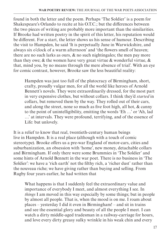found in both the letter and the poem. Perhaps 'The Soldier' is a poem for Shakespeare's Orlando to recite at his O.T.C.; but the differences between the two pieces of writing are probably more important than the similarities. If Brooke had written poetry in the spirit of this letter, his reputation would be different. For a start, the letter shows us his sense of humour. Describing the visit to Hampden, he said 'It is perpetually June in Warwickshire, and always six o'clock of a warm afternoon' and 'the flowers smell of heaven; there are no such larks as ours, & no such nightingales; the men pay more than they owe;  $\&$  the women have very great virtue  $\&$  wonderful virtue,  $\&$ that, mind you, by no means through the mere absence of trial'. With an eye for comic contrast, however, Brooke saw the less beautiful reality:

Hampden was just too full of the plutocracy of Birmingham, short, crafty, proudly vulgar men, for all the world like heroes of Arnold Bennett's novels. They were extraordinarily dressed, for the most part in very expensive clothes, but without collars. I think they'd *started* in collars, but removed them by the way. They rolled out of their cars, and along the street, none so much as five foot high, all hot, & canny to the point of unintelligibility, emitting the words 'Eh …' or 'Ah, lad …' at intervals. They were profound, terrifying, and of the essence of Life: but unlovely.

It is a relief to know that real, twentieth-century human beings live in Hampden. It is a real place (although with a touch of comic stereotype). Brooke offers us a pre-war England of motor-cars, cities and suburbanization, an obsession with 'home', new money, detachable collars and Birmingham. If only there were some Brummies in 'The Soldier' and some hints of Arnold Bennett in the war poet. There is no business in 'The Soldier': we have a 'rich earth' not the filthy rich, a 'richer dust' rather than the nouveau riche; we have giving rather than buying and selling. From Rugby four years earlier, he had written that

What happens is that I suddenly feel the extraordinary value and importance of everybody I meet, and almost everything I see. In *things* I am moved in this way especially by some things; but in people by almost all people. That is, when the mood is on me. I roam about places – yesterday I did it even in Birmingham! – and sit in trains and see the essential glory and beauty of all the people I meet. I can watch a dirty middle-aged tradesman in a railway-carriage for hours, and love every dirty greasy sulky wrinkle in his weak chin and every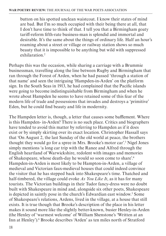button on his spotted unclean waistcoat. I know their states of mind are bad. But I'm so much occupied with their being there at all, that I don't have time to think of that. I tell you that a Birmingham goaty tariff-reform fifth-rate business-man is splendid and immortal and desirable. It's the same about the things of ordinary life. Half an hour's roaming about a street or village or railway station shows so much beauty that it is impossible to be anything but wild with suppressed exhilaration<sup>2</sup>

Perhaps this was the occasion, while sharing a carriage with a Brummie businessman, travelling along the line between Rugby and Birmingham that ran through the Forest of Arden, when he had passed 'through a station of that name' and seen the intriguing 'Hampden-in-Arden' on the platform sign. In the South Seas in 1913, he had complained that the Pacific islands were going to become indistinguishable from Birmingham and when he wrote about Hampden he seems to have retained some of this fear of the modern life of trade and possessions that invades and destroys a 'primitive' Eden, but he could find beauty and life in modernity.

The Hampden letter is, though, a letter that causes some bafflement. Where is this Hampden- in-Arden? There is no such place. Critics and biographers have tended to avoid this matter by referring to Hampden as if it does exist or by simply skirting over its exact location. Christopher Hassall says that 'On August 2, the last Sunday of the old world at peace, the brothers thought they would go for a spree in Mrs. Brooke's motor car'.3 Nigel Jones simply mentions 'a long car trip with the Ranee and Alfred through the English heartland of Warwickshire, redolent with images and memories of Shakespeare, whose death-day he would so soon come to share'.4 Hampden-in-Arden is most likely to be Hampton-in-Arden, a village of medieval and Victorian faux-medieval houses that could indeed convince the visitor that he has stepped back into Shakespeare's time. Thatched and half-timbered, the village could evoke *As You Like It*, as it has for many tourists. The Victorian buildings in their Tudor fancy-dress were no doubt built with Shakespeare in mind and, alongside six other poets, Shakespeare is depicted in saintly pose in the church's Edwardian east window.<sup>5</sup> Some of Shakespeare's relations, Ardens, lived in the village, at a house that still exists. It is true though that Brooke's description of the place in his letter makes it sound more like the slightly better-known, busier Henley-in-Arden (the Henley of 'warmest welcome' of William Shenstone's 'Written at an Inn at Henley').<sup>6</sup> Brooke describes 'Arden' as ten miles north of Stratford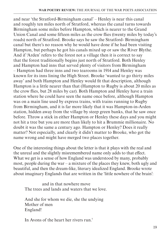and near 'the Stratford-Birmingham canal' – Henley is near this canal and roughly ten miles north of Stratford, whereas the canal turns towards Birmingham some miles before Hampton, which is nearer to the Grand Union Canal and some fifteen miles as the crow flies (twenty miles by today's roads) north of Stratford. Brooke says he saw the Stratford- Birmingham canal but there's no reason why he would have done if he had been visiting Hampton, but perhaps he got his canals mixed up or saw the River Blythe. And if 'Arden' refers to the forest not a village then it is correct to say that the forest traditionally begins just north of Stratford. Both Henley and Hampton had inns that served plenty of visitors from Birmingham – Hampton had three inns and two tearooms in 1914 and Henley was known for its inns lining the High Street. Brooke 'wanted to go thirty miles away' and both Hampton and Henley would fit that description, although Hampton is a little nearer than that (Hampton to Rugby is about 20 miles as the crow flies, but 28 miles by car). Both Hampton and Henley have a train station where he could have seen the name once before, although Hampton was on a main line used by express trains, with trains running to Rugby from Birmingham, and it is far more likely that it was Hampton-in-Arden station, hidden away from the village by steep green banks, that he saw once before. Throw a stick in either Hampton or Henley these days and you might not hit a tree but you are more than likely to hit a Brummie millionaire. No doubt it was the same a century ago. Hampton or Henley? Does it really matter? Not especially, and clearly it didn't matter to Brooke, who got the name wrong and might have merged two places together.

One of the interesting things about the letter is that it plays with the real and the unreal and the slightly misremembered name only adds to that effect. What we get is a sense of how England was understood by many, probably most, people during the war – a mixture of the places they knew, both ugly and beautiful, and then the dream-like, literary idealized England. Brooke wrote about imaginary Englands that are written in the 'little nowhere of the brain':

 and in that nowhere move The trees and lands and waters that we love.

And she for whom we die, she the undying Mother of men England!

In Avons of the heart her rivers run<sup>7</sup>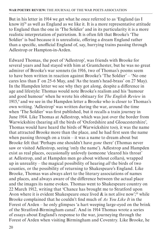But in his letter in 1914 we get what he once referred to as 'England (as I know it)'8 as well as England as we like it. It is a more representative attitude to England than the one in 'The Soldier' and in its particularity it is a more realistic interpretation of patriotism. It is often felt that Brooke's 'The Soldier' is bad because it is unrealistic, offering a dream England rather than a specific, unofficial England of, say, hurrying trains passing through Adlestrop or Hampton-in-Arden.

Edward Thomas, the poet of 'Adlestrop', was friends with Brooke for several years and had stayed with him at Grantchester, but he was no great admirer of Brooke's war sonnets (in 1916, two of Thomas's poems seem to have been written in reaction against Brooke's 'The Soldier' – 'No one cares less than I' on 25-6 May, and 'As the team's head-brass' on 27 May). In the Hampden letter we see why they got along, despite a difference in age and lifestyle: Thomas would note Brooke's realism and his 'humour and good humour' when he wrote his obituary for *The English Review* in 1915,<sup>9</sup> and we see in the Hampden letter a Brooke who is closer to Thomas's own writing. 'Adlestrop' was written during the war, around the time when 'The Soldier' was first published, but it recalls a train journey in June 1914. Like Thomas at Adlestrop, which was just over the border from Warwickshire (hearing all the birds of 'Oxfordshire and Gloucestershire', Thomas would have heard the birds of Warwickshire too), it was the name that attracted Brooke more than the place, and he had first seen the name when passing through on a train – it was a name to dream about but Brooke felt that 'Perhaps one shouldn't have *gone* there' (Thomas never saw or visited Adlestrop, seeing 'only the name'). Adlestrop and Hampden exist as real places, occasionally unlovely (someone 'cleared his throat' at Adlestrop, and at Hampden men go about without collars), wrapped up in unreality – the magical possibility of hearing *all* the birds of two counties, or the possibility of returning to Shakespeare's England. Like Brooke, Thomas was always alert to the literary associations of names and places, and always aware of the difference between the actual place and the images its name evokes. Thomas went to Shakespeare country on 22 March 1912, writing that 'Chance has brought me to Stratford upon Avon where it is evident Shakespeare once lived  $\&$  is not alive now<sup> $\cdot$ 10</sup> while Brooke complained that he couldn't find much of *As You Like It* in the Forest of Arden – he only glimpses 'a hart weeping large-eyed on the brink of the Stratford-Birmingham canal'. And in 1914 Thomas wrote a series of essays about England's response to the war, journeying through the Forest of Arden when visiting Birmingham and Coventry. Like Brooke, he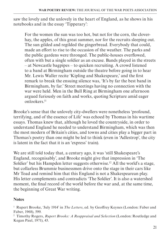saw the lovely and the unlovely in the heart of England, as he shows in his notebooks and in the essay 'Tipperary':

For the women the sun was too hot, but not for the corn, the cloverhay, the apples, of this great summer, nor for the recruits sleeping out. The sun gilded and regilded the gingerbread. Everybody that could, made an effort to rise to the occasion of the weather. The parks and the public gardens were thronged. The public-houses overflowed, often with but a single soldier as an excuse. Bands played in the streets – at Newcastle bagpipes – to quicken recruiting. A crowd listened to a band at Birmingham outside the theatre before going in to hear Mr. Lewis Waller recite 'Kipling and Shakespeare,' and the first remark to break the ensuing silence was, 'It's by far the best band in Birmingham, by far.' Street meetings having no connection with the war were held. Men in the Bull Ring at Birmingham one afternoon argued furiously on faith and works, quoting Scripture amid eager onlookers.11

Brooke's sense that the unlovely city-dwellers were nonetheless 'profound, terrifying, and of the essence of Life' was echoed by Thomas in his wartime essays. Thomas knew that, although he loved the countryside, in order to understand England he needed to understand Birmingham, which was then the most modern of Britain's cities, and towns and cities play a bigger part in Thomas's poetry than one might be led to think (even in 'Adlestrop', the city is latent in the fact that it is an 'express' train).

We are still told today that, a century ago, it was 'still Shakespeare's England, recognisably', and Brooke might give that impression in 'The Soldier' but his Hampden letter suggests otherwise.<sup>12</sup> All the world's a stage, but collarless Brummie businessmen drive onto the stage in their cars like Mr Toad and remind him that this England is not a Shakespearean play. His letter complements and contradicts 'The Soldier'. It is also a watershed moment, the final record of the world before the war and, at the same time, the beginning of Great War writing.

#### **Notes**

<sup>1</sup> Rupert Brooke, 'July 1914' in *The Letters*, ed. by Geoffrey Keynes (London: Faber and Faber, 1968), 599.

<sup>2</sup> Timothy Rogers, *Rupert Brooke: A Reappraisal and Selection* (London: Routledge and Kegan Paul, 1971), 43.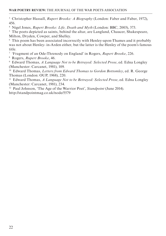<sup>3</sup> Christopher Hassall, *Rupert Brooke: A Biography* (London: Faber and Faber, 1972), 456.

<sup>4</sup> Nigel Jones, *Rupert Brooke: Life, Death and Myth* (London: BBC, 2003), 373.

 $<sup>5</sup>$  The poets depicted as saints, behind the altar, are Langland, Chaucer, Shakespeare,</sup> Milton, Dryden, Cowper, and Shelley.

<sup>6</sup> This poem has been associated incorrectly with Henley-upon-Thames and it probably was not about Henley- in-Arden either, but the latter is the Henley of the poem's famous title.

<sup>7</sup> 'Fragment of an Ode-Threnody on England' in Rogers, *Rupert Brooke*, 226.

<sup>8</sup> Rogers, *Rupert Brooke*, 46.

<sup>9</sup> Edward Thomas, *A Language Not to be Betrayed: Selected Prose*, ed. Edna Longley (Manchester: Carcanet, 1981), 109.

<sup>10</sup> Edward Thomas, *Letters from Edward Thomas to Gordon Bottomley*, ed. R. George Thomas (London: OUP, 1968), 220.

<sup>11</sup> Edward Thomas, *A Language Not to be Betrayed: Selected Prose*, ed. Edna Longley (Manchester: Carcanet, 1981), 234.

<sup>12</sup> Paul Johnson, 'The Age of the Warrior Poet', *Standpoint* (June 2014). http://standpointmag.co.uk/node/5579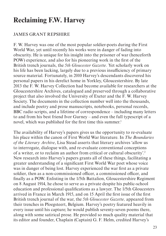### **Reclaiming F.W. Harvey**

#### JAMES GRANT REPSHIRE

F. W. Harvey was one of the most popular soldier-poets during the First World War, yet until recently his works were in danger of fading into obscurity. He is unique for his insight into the prisoner of war (henceforth POW) experience, and also for his pioneering work in the first of the British trench journals, the *5th Gloucester Gazette.* Yet scholarly work on his life has been lacking, largely due to a previous insufficiency of primary source material. Fortunately, in 2010 Harvey's descendants discovered his personal papers in his derelict home in Yorkley, Gloucestershire. By late 2013 the F. W. Harvey Collection had become available for researchers at the Gloucestershire Archives, catalogued and preserved through a collaborative project that also involved the University of Exeter and the F. W. Harvey Society. The documents in the collection number well into the thousands, and include poetry and prose manuscripts, notebooks, personal records, BBC radio scripts, and a lifetime of correspondence – including many letters to and from his best friend Ivor Gurney – and even the full typescript of a novel, which was published for the first time this summer.<sup>1</sup>

The availability of Harvey's papers gives us the opportunity to re-evaluate his place within the canon of First World War literature. In *The Boundaries of the Literary Archive*, Lisa Stead asserts that literary archives 'allow us to interrogate, dialogue with, and re-evaluate conventional conceptions of a writer, or to reclaim an author from critical or cultural obscurity'.2 New research into Harvey's papers grants all of these things, facilitating a greater understanding of a significant First World War poet whose voice was in danger of being lost. Harvey experienced the war first as a private soldier, then as a non-commissioned officer, a commissioned officer, and finally as a POW. Enlisting in the 1/5th Battalion, Gloucestershire Regiment on 8 August 1914, he chose to serve as a private despite his public-school education and professional qualifications as a lawyer. The 1/5th Gloucesters arrived in France in March 1915, and on 15 April the first issue of the first British trench journal of the war, the *5th Gloucester Gazette,* appeared from their trenches in Ploegsteert, Belgium. Harvey's poetry featured heavily in every issue until his capture; he would publish seventy-seven poems there, along with some satirical prose. He provided so much quality material that its editor and founder, Chaplain (Captain) G. F. Helm, credited Harvey's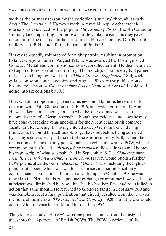work as the primary reason for the periodical's survival through its early days.3 The *Gazette* and Harvey's work in it would inspire other trench journals, as evidenced by the popular *The Listening Post* of the 7th Canadian Infantry later reprinting – or more accurately, plagiarising, as they gave no credit for the original author or source – Harvey's poems 'Our Portrait Gallery – To P. H.' and 'To the Patriots of Poplar'*.* 4

Harvey repeatedly volunteered for night patrols, resulting in promotion to lance-corporal, and in August 1915 he was awarded the Distinguished Conduct Medal and commissioned as a second lieutenant. He then returned to England to receive officer training. His trench-journal poetry had gained notice, even being reviewed in the *Times Literary Supplement.*<sup>5</sup> Sidgwick & Jackson soon contracted him, and August 1916 saw the publication of his first collection, *A Gloucestershire Lad at Home and Abroad*. It sold well, going into six editions by 1918.

Harvey had no opportunity to enjoy his newfound fame, as he returned to the front with 2/5th Gloucesters in July 1916, and was captured on 17 August. He was taken alone, having gone on what he later claimed was a soloreconnaissance of a German trench – though new evidence indicates he may have gone out seeking vengeance-kills for the recent death of his comrade, Lieutenant R. E. Knight. Having entered a deep German trench during this action, he found himself unable to get back out before being cornered by enemy soldiers. He spent the rest of the war in captivity. Still, he had the distinction of being the only poet to publish a collection while a POW, when the commandant at Crefeld<sup>6</sup> *Offiziersgefangenenlager* allowed him to mail home his manuscript of what was published in September 1917 as *Gloucestershire Friends: Poems from a German Prison Camp*. Harvey would publish further POW poems after the war in *Ducks, and Other Verses,* including the highlypopular title poem which was written after a serving period of solitary confinement as punishment for an escape attempt*.* In October 1918 he was moved to the Netherlands on a prisoner-exchange programme; however, his joy at release was diminished by news that that his brother, Eric, had been killed in action that same month. He returned to Gloucestershire in February 1919 and was demobilised. His final publication that directly resulted from the war was memoirs of his life as a POW, *Comrades in Captivity* (1920). Still, the war would continue to influence his work until his death in 1957.

The greatest value of Harvey's wartime poetry comes from the insight it gives into the experience of British POWs. The POW experience of the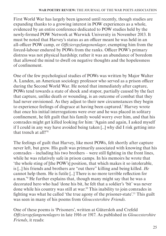First World War has largely been ignored until recently, though studies are expanding thanks to a growing interest in POW experiences as a whole, evidenced by an entire conference dedicated to POW studies held by the newly-formed POW Network at Warwick University in November 2013. It must be noted that Harvey's status as an officer meant he was held in an all-officer POW camp, or *Offiziersgefangenenlager*, exempting him from the forced-labour endured by POWs from the ranks. Officer POW's primary distress was not physical hardship; rather it was an abundance of boredom that allowed the mind to dwell on negative thoughts and the hopelessness of confinement.

One of the few psychological studies of POWs was written by Major Walter A. Lunden, an American sociology professor who served as a prison officer during the Second World War. He noted that immediately after capture, POWs tend towards a state of shock and stupor, partially caused by the fact that capture, unlike death or wounding, is an outcome of combat that they had never envisioned. As they adjust to their new circumstances they begin to experience feelings of disgrace at having been captured.7 Harvey wrote that once his initial interrogations were over and he was placed in solitary confinement, he felt guilt that his family would worry over him, and that his comrades might get killed looking for him: 'Again and again, I asked myself if I could in any way have avoided being taken [...] why did I risk getting into that trench at all?'8

The feelings of guilt that Harvey, like most POWs, felt shortly after capture never left, but grew. His guilt was primarily associated with knowing that his comrades – including his two brothers – were still fighting in the front lines, while he was relatively safe in prison camps. In his memoirs he wrote that 'the whole sting of [the POW's] position, that which makes it so intolerable, is [...] his friends and brothers are "out there" killing and being killed. *He*  cannot help them. He is futile [...] There is no more terrible reflection for a man.'9 He further explains that, though many might say that he was a decorated hero who had 'done his bit, he felt that a soldier's 'bit' was never done while his country was still at war.10 This inability to join comrades in fighting was what he called 'the true agony of the prisoner-state'.11 This guilt was seen in many of his poems from *Gloucestershire Friends*.

One of these poems is 'Prisoners', written at Gütersloh and Crefeld *Offiziersgefangenenlagers* in late 1916 or 1917. As published in *Gloucestershire Friends*, it reads: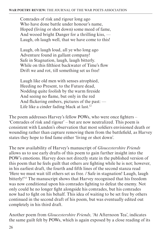Comrades of risk and rigour long ago Who have done battle under honour's name, Hoped (living or shot down) some meed of fame, And wooed bright Danger for a thrilling kiss, — Laugh, oh laugh well, that we have come to this!

Laugh, oh laugh loud, all ye who long ago Adventure found in gallant company! Safe in Stagnation, laugh, laugh bitterly. While on this filthiest backwater of Time's flow Drift we and rot, till something set us free!

Laugh like old men with senses atrophied, Heeding no Present, to the Future dead, Nodding quite foolish by the warm fireside And seeing no flame, but only in the red And flickering embers, pictures of the past: — Life like a cinder fading black at last.<sup>12</sup>

The poem addresses Harvey's fellow POWs, who were once fighters – 'Comrades of risk and rigour' – but are now neutralized. This poem is consistent with Lunden's observation that most soldiers envisioned death or wounding rather than capture removing them from the battlefield, as Harvey states they hope to find fame either 'living or shot down'.

The new availability of Harvey's manuscript of *Gloucestershire Friends*  allows us to use early drafts of this poem to gain further insight into the POW's emotions. Harvey does not directly state in the published version of this poem that he feels guilt that others are fighting while he is not; however, in his earliest draft, the fourth and fifth lines of the second stanza read 'Here we must wait till others set us free. / Safe in stagnation! Laugh, laugh bitterly!'13 The manuscript shows that Harvey recognised that his freedom was now conditional upon his comrades fighting to defeat the enemy. Not only could he no longer fight alongside his comrades, but his comrades now had to fight on his behalf. This idea of waiting to be set free by others continued in the second draft of his poem, but was eventually edited out completely in his third draft.

Another poem from *Gloucestershire Friends,* 'At Afternoon Tea', indicates the same guilt felt by POWs, which is again exposed by a close reading of its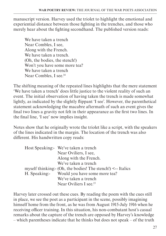manuscript version. Harvey used the triolet to highlight the emotional and experiential distance between those fighting in the trenches, and those who merely hear about the fighting secondhand. The published version reads:

We have taken a trench Near Combles, I see, Along with the French. We have taken a trench. (Oh, the bodies, the stench!) Won't you have some more tea? We have taken a trench Near Combles, I see.<sup>14</sup>

The shifting meaning of the repeated lines highlights that the mere statement 'We have taken a trench' does little justice to the violent reality of such an event. The initial observation of having taken the trench is made somewhat lightly, as indicated by the slightly flippant 'I see'. However, the parenthetical statement acknowledging the macabre aftermath of such an event gives the final two lines a gravity not felt in their appearance as the first two lines. In the final line, 'I see' now implies insight.

Notes show that he originally wrote the triolet like a script, with the speakers of the lines indicated in the margin. The location of the trench was also different. His handwritten copy reads:

| Host Speaking:- We've taken a trench                             |
|------------------------------------------------------------------|
| Near Oviliers, I see,                                            |
| Along with the French.                                           |
| We've taken a trench                                             |
| myself thinking:- (Oh, the bodies! The stench!) $\leq$ --Italics |
| H. Speaking:- Would you have some more tea?                      |
| We've taken a trench                                             |
| Near Oviliers I see. <sup>15</sup>                               |

Harvey later crossed out these cues. By reading the poem with the cues still in place, we see the poet as a participant in the scene, possibly imagining himself home from the front, as he was from August 1915-July 1916 when he receiving officer training. In this situation, his non-combatant host's casual remarks about the capture of the trench are opposed by Harvey's knowledge – which parentheses indicate that he thinks but does not speak – of the truth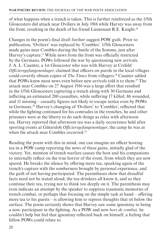of what happens when a trench is taken. This is further reinforced as the 1/5th Gloucesters did attack near Oviliers in July 1916 while Harvey was away from the front, resulting in the death of his friend Lieutenant R.E. Knight.16

Changes in the poem's final draft further suggest POW guilt. Prior to publication, 'Oviliers' was replaced by 'Combles'. 1/5th Gloucesters made gains near Combles during the battle of the Somme, just after Harvey's capture.17 While news from the front was officially restricted by the Germans, POWs followed the war by questioning new arrivals. J. A. L. Caunter, a 1st Gloucester who was with Harvey at Crefeld *Offiziersgefangenenlager*, claimed that officers on parole in the local villages could covertly obtain copies of *The Times* from villagers.18 Caunter added that POWs knew most news even before new arrivals told it to them.19 The attack near Combles on 27 August 1916 was a large effort that resulted in the 1/5th Gloucesters capturing a trench along with 30 Germans and inflicting an estimated 200 casualties, while suffering 17 killed, 86 wounded, and 11 missing – casualty figures not likely to escape notice even by POWs in Germany.20 Harvey's changing of 'Oviliers' to 'Combles', reflected that while the fighting continued for his comrades in the trenches, he and other prisoners were at the liberty to do such things as relax with afternoon tea. Harvey reported that afternoon tea was a daily occurrence held after sporting events at Gütersloh *Offiziersgefangenenlager*, the camp he was at when the attack near Combles occurred<sup>21</sup>

Reading the poem with this in mind, one can imagine an officer hosting tea in a POW camp reporting the news of these gains, initially glad of the victory. Yet, mention of trench warfare causes the host and his companions to internally reflect on the true horror of the event, from which they are now spared. He breaks the silence by offering more tea, speaking again of the trench's capture with the somberness brought by personal experience, and the guilt of not having participated. The parentheses show that dreadful facts need not be stated aloud; the tea-drinkers all know it, and so they continue their tea, trying not to think too deeply on it. The parenthesis may even indicate an attempt by the speaker to suppress traumatic memories of trench combat, or perhaps that focusing on the simple task at hand – offering more tea to his guests – is allowing him to repress thoughts that sit below the surface. The poem certainly shows that Harvey saw some ignominy in being a non- participant in the fighting. As a POW and now *hors de combat,* he couldn't help but feel that ignominy reflected back on himself, a feeling that fellow POWs could relate to.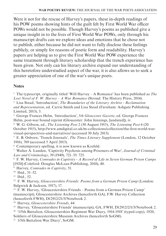Were it not for the rescue of Harvey's papers, these in-depth readings of his POW poems showing hints of the guilt felt by First World War officer POWs would not be possible. Though Harvey's poems as published give a unique insight in to the lives of First World War POWs, only through his manuscript drafts can we explore ideas and emotions that he chose not to publish, either because he did not want to fully disclose these feelings publicly, or simply for reasons of poetic form and readability. Harvey's papers are helping us to give the First World War POW experience the same treatment through literary scholarship that the trench experience has been given. Not only can his literary archive expand our understanding of this heretofore understudied aspect of the war, it is also allows us to seek a greater appreciation of one of the war's unique poets.

#### **Notes**

<sup>1</sup> The typescript, originally titled 'Will Harvey – A Romance' has been published as *The Lost Novel of F. W. Harvey – A War Romance* (Stroud: The History Press, 2014).

<sup>2</sup> Lisa Stead, 'Introduction', *The Boundaries of the Literary Archive - Reclamation and Representation*, ed. Carrie Smith and Lisa Stead (Farnham: Ashgate Publishing Limited, 2013), 3.

<sup>3</sup> George Frances Helm, 'Introduction', *5th Gloucester Gazette*, ed. George Frances Helm, post-war bound reprint (Gloucester: John Jennings, [undated]), iv.

<sup>4</sup> W. G. Gibson, ed., *The Listening Post* 2 (30 August 1915), *The Listening Post* 6 (20 October 1915), http://www.amdigital.co.uk/m-collections/collection/the-first-world-warvisual-perspectives-and-narratives/ (accessed 30 July 2013).

<sup>5</sup> E. B. Osborn, 'Trench Journals', *The Times Literary Supplement* (London, 12 October 1916), 769 (accessed 5 April 2013).

<sup>6</sup> Contemporary spelling, it is now known as Krefeld.

<sup>7</sup> Walter A. Lunden, 'Captivity Psychosis among Prisoners of War', *Journal of Criminal Law and Criminology*, 39 (1949), 721–33: 725.

<sup>8</sup> F. W. Harvey, *Comrades in Captivity - A Record of Life in Seven German Prison Camps*  [1920] (Coleford: Douglas McLean Publishing, 2010), 40.

<sup>9</sup> Harvey, *Comrades in Captivity*, 51.

<sup>10</sup> Ibid., 51–52.

<sup>11</sup> Ibid., 52.

<sup>12</sup> F. W. Harvey, *Gloucestershire Friends: Poems from a German Prison Camp* (London: Sidgwick & Jackson, 1917), 17.

<sup>13</sup> F. W. Harvey, 'Gloucestershire Friends – Poems from a German Prison Camp' (manuscript), Gloucestershire Archives (henceforth GA), F.W. Harvey Collection (henceforth FWH), D12912/21/3/Notebook 2.

<sup>14</sup> Harvey, *Gloucestershire Friends*, 44.

<sup>15</sup> Harvey, 'Gloucestershire Friends' (manuscript), GA, FWH, D12912/2/1/3/Notebook 2.

<sup>16</sup> '1/5th Battalion, Gloucestershire Regiment War Diary, 1914-1918' (typed copy), 1920,

Soldiers of Gloucestershire Museum Archives (henceforth SoGM).

<sup>17</sup> 1/5th Battalion War Diary', SoGM.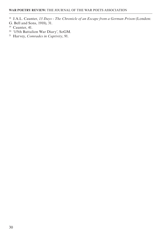- <sup>18</sup> J.A.L. Caunter, *13 Days The Chronicle of an Escape from a German Prison* (London:
- G. Bell and Sons, 1918), 31.
- <sup>19</sup> Caunter, 41.
- <sup>20</sup> '1/5th Battalion War Diary', SoGM.
- <sup>21</sup> Harvey, *Comrades in Captivity*, 91.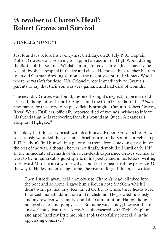### **'A revolver to Charon's Head': Robert Graves and Survival**

#### CHARLES MUNDYE

Just four days before his twenty-first birthday, on 20 July 1916, Captain Robert Graves was preparing to support an assault on High Wood during the Battle of the Somme. Whilst running for cover through a cemetery, he was hit by shell shrapnel in the leg and chest. He moved by stretcher-bearers to an old German dressing station at the recently-captured Mametz Wood, where he was left for dead. His Colonel wrote immediately to Graves's parents to say that their son was very gallant, and had died of wounds.

The next day Graves was found, despite the night's neglect, to be not dead after all, though it took until 5 August and the Court Circular in the *Times*  newspaper for the story to be put officially straight: 'Captain Robert Graves, Royal Welsh Fusiliers, officially reported died of wounds, wishes to inform his friends that he is recovering from his wounds at Queen Alexandra's Hospital, Highgate.'1

It is likely that this early brush with death saved Robert Graves's life. He was so seriously wounded that, despite a brief return to the Somme in February 1917, he didn't find himself in a place of extreme front-line danger again for the rest of the war, although he was not finally demobilised until early 1919. In the immediate aftermath of this near-death experience Graves seemed at least to be in remarkably good spirits in his poetry and in his letters, writing to Edward Marsh with a whimsical account of his near-death experience. On the way to Hades and crossing Lethe, the river of forgetfulness, he writes:

Then I strode away, held a revolver to Charon's head, climbed into the boat and so home. I gave him a Rouen note for 50cm which I didn't want particularly. Remained Cerberus whose three heads were, I noticed, mastiff, dalmatian and dachshund. He growled furiously and my revolver was empty, and I'd no ammunition. Happy thought: honeyed cakes and poppy seed. But none was handy; however, I had an excellent substitute – Army biscuit smeared with Tickler's 'plum and apple' and my little morphia tablets carefully concealed in the appetizing conserve.2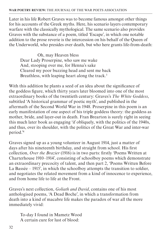Later in his life Robert Graves was to become famous amongst other things for his accounts of the Greek myths. Here, his scenario layers contemporary warfare with the classically mythological. The same scenario also provides Graves with the substance of a poem, titled 'Escape', in which one notable addition to the prose reverie is the intercession on his behalf of the Queen of the Underworld, who presides over death, but who here grants life-from-death:

 Oh, may Heaven bless Dear Lady Proserpine, who saw me wake And, stooping over me, for Henna's sake Cleared my poor buzzing head and sent me back Breathless, with leaping heart along the track.<sup>3</sup>

With this addition he plants a seed of an idea about the significance of the goddess figure, which thirty years later bloomed into one of the most extraordinary books of the twentieth century: Graves's *The White Goddess*, subtitled 'A historical grammar of poetic myth', and published in the aftermath of the Second World War in 1948. Proserpine in this poem is an early manifestation of one aspect of his triple goddess theory: the goddess as mother, bride, and layer-out in death. Fran Brearton is surely right in seeing this much later book as engaging 'if obliquely, with the politics of the 1940s, and thus, over its shoulder, with the politics of the Great War and inter-war period.'4

Graves signed up as a young volunteer in August 1914, just a matter of days after his nineteenth birthday, and straight from school. His first collection, *Over the Brazier* (1916) is in two parts: firstly 'Poems Written at Charterhouse 1910–1914', consisting of schoolboy poems which demonstrate an extraordinary precocity of talent, and then part 2, 'Poems Written Before La Bassée – 1915', in which the schoolboy attempts the transition to soldier, and negotiates the related movement from a kind of innocence to experience, and from home life to life at the Front.

Graves's next collection, *Goliath and David*, contains one of his most anthologised poems, 'A Dead Boche', in which a transformation from death into a kind of macabre life makes the paradox of war all the more immediately vivid:

To-day I found in Mametz Wood A certain cure for lust of blood: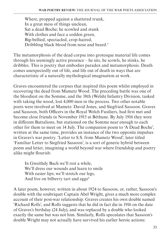Where, propped against a shattered trunk, In a great mess of things unclean, Sat a dead Boche; he scowled and stunk With clothes and face a sodden green. Big-bellied, spectacled, crop-haired, Dribbling black blood from nose and beard.<sup>5</sup>

The metamorphosis of the dead corpse into grotesque material life comes through his seemingly active presence – he sits, he scowls, he stinks, he dribbles. This is poetry that embodies paradox and metamorphosis. Death comes unexpectedly out of life, and life out of death in ways that are characteristic of a naturally mythological imagination at work.

Graves encountered the corpses that inspired this poem whilst employed in recovering the dead from Mametz Wood. The preceding battle was one of the bloodiest on the Somme, and the 38th (Welsh) Infantry Division, tasked with taking the wood, lost 4,000 men in the process. Two other notable poets were involved at Mametz: David Jones, and Siegfried Sassoon. Graves and Sassoon, both Officers in the Royal Welch Fusiliers, had first met and become close friends in November 1915 at Béthune. By July 1916 they were in different Battalions, but stationed on the Somme near enough to each other for them to meet on 14 July. The companion poem to 'A Dead Boche', written at the same time, provides an instance of the two opposite impulses in Graves's war poetry. 'Letter to S.S. from Mametz Wood', later titled 'Familiar Letter to Siegfried Sassoon', is a sort of generic hybrid between poem and letter, imagining a world beyond war where friendship and poetry alike might flourish:

In Gweithdy Bach we'll rest a while, We'll dress our wounds and learn to smile With easier lips; we'll stretch our legs, And live on bilberry tart and eggs<sup>6</sup>

A later poem, however, written in about 1924 to Sassoon, or, rather, Sassoon's double with the soubriquet Captain Abel Wright, gives a much more complex account of their post-war relationship. Graves creates his own double named 'Richard Rolls', and Rolls suggests that he did in fact die in 1916 on the date of Graves's birthday (24 July), and was replaced by a double who looked exactly the same but was not him. Similarly, Rolls speculates that Sassoon's double Wright may not actually have survived his earlier heroic actions: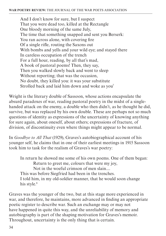And I don't know for sure, but I suspect That you were dead too, killed at the Rectangle One bloody morning of the same July, The time that something snapped and sent you Berserk: You ran across alone, with covering fire Of a single rifle, routing the Saxons out With bombs and yells and your wild eye; and stayed there In careless occupation of the trench For a full hour, reading, by all that's mad, A book of pastoral poems! Then, they say, Then you walked slowly back and went to sleep Without reporting; that was the occasion, No doubt, they killed you: it was your substitute Strolled back and laid him down and woke as you<sup>7</sup>

Wright is the literary double of Sassoon, whose actions encapsulate the absurd paradoxes of war, reading pastoral poetry in the midst of a singlehanded attack on the enemy, a double who then didn't, as he thought he did, survive, but was replaced by his own double. These are perhaps not so much questions of identity as expressions of the uncertainty of knowing anything for sure again, about oneself, about others; expressions of fracture, of division, of discontinuity even where things might appear to be normal.

In *Goodbye to All That* (1929), Graves's autobiographical account of his younger self, he claims that in one of their earliest meetings in 1915 Sassoon took him to task for the realism of Graves's war poetry:

In return he showed me some of his own poems. One of them began: Return to greet me, colours that were my joy, Not in the woeful crimson of men slain... This was before Siegfried had been in the trenches. I told him, in my old-soldier manner, that he would soon change his style.<sup>8</sup>

Graves was the younger of the two, but at this stage more experienced in war, and therefore, he maintains, more advanced in finding an appropriate poetic register to describe war. Such an exchange may or may not have happened in quite this way, and the unreliability of memory and autobiography is part of the shaping motivation for Graves's memoir. Throughout, uncertainty is the only thing that is certain.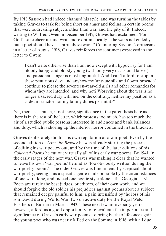By 1918 Sassoon had indeed changed his style, and was turning the tables by taking Graves to task for being short on anger and feeling in certain poems that were addressing subjects other than war, and the pity of it. Indeed, writing to Wilfred Owen in December 1917, Graves had exclaimed: 'For God's sake cheer up and write more optimistically – the war's not ended yet but a poet should have a spirit above wars.'9 Countering Sassoon's criticisms in a letter of August 1918, Graves reinforces the sentiment expressed in the letter to Owen:

I can't write otherwise than I am now except with hypocrisy for I am bloody happy and bloody young (with only very occasional lapses) and passionate anger is most ungrateful. And I can't afford to stop in these penurious days and anyhow my 'antique silk and flower brocade' continue to please the seventeen-year-old girls and other romantics for whom they are intended: and why not? Worrying about the war is no longer a sacred duty with me: on the contrary, neither my position as a cadet instructor nor my family duties permit it.10

Yet, there is as much, if not more, significance in the parenthesis here as there is in the rest of the letter, which protests too much, has too much the air of a studied public persona interested in audiences and bank balances and duty, which is shoring up the interior horror contained in the brackets.

Graves deliberately did for his own reputation as a war poet. Even by the second edition of *Over the Brazier* he was already starting the process of editing his war poetry out, and by the time of the later editions of his *Collected Poems* he cut out virtually all of his early war poems. By 1941, in the early stages of the next war, Graves was making it clear that he wanted to leave his own 'war poems' behind as 'too obviously written during the war poetry boom'.<sup>11</sup> The older Graves was fundamentally sceptical about war poetry, seeing it as a specific genre made possible by the circumstances of one war alone, and indeed one poetic style alone – the Georgian style. Poets are rarely the best judges, or editors, of their own work, and we should forgive the old soldier his prejudices against poems about a subject that remained deeply painful to him, a pain intensified by the loss of his son David during World War Two on active duty for the Royal Welch Fusiliers in Burma in March 1943. These next few anniversary years, however, afford us a good opportunity to re-evaluate the importance and significance of Graves's early war poems, to bring back to life once again the young poet who was nearly killed on the Somme in 1916, with all due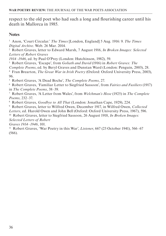respect to the old poet who had such a long and flourishing career until his death in Mallorca in 1985.

### **Notes**

<sup>1</sup> Anon, 'Court Circular.' *The Times* [London, England] 5 Aug. 1916: 9. *The Times Digital Archive*. Web. 26 Mar. 2014.

<sup>2</sup> Robert Graves, letter to Edward Marsh, 7 August 1916, *In Broken Images: Selected Letters of Robert Graves*

*1914–1946*, ed. by Paul O'Prey (London: Hutchinson, 1982), 59.

<sup>3</sup> Robert Graves, 'Escape', from *Goliath and David* (1916) in *Robert Graves: The* 

*Complete Poems*, ed. by Beryl Graves and Dunstan Ward (London: Penguin, 2003), 28.

<sup>4</sup> Fran Brearton, *The Great War in Irish Poetry* (Oxford: Oxford University Press, 2003), 96.

<sup>5</sup> Robert Graves, 'A Dead Boche', *The Complete Poems*, 27.

<sup>6</sup> Robert Graves, 'Familiar Letter to Siegfried Sassoon', from *Fairies and Fusiliers* (1917) in *The Complete Poems*, 38–39.

<sup>7</sup> Robert Graves, 'A Letter from Wales', from *Welchman's Hose* (1925) in *The Complete Poems*, 232–37.

<sup>8</sup> Robert Graves, *Goodbye to All That* (London: Jonathan Cape, 1929), 224.

<sup>9</sup> Robert Graves, letter to Wilfred Owen, December 1917, in Wilfred Owen, *Collected* 

*Letters*, ed. Harold Owen and John Bell (Oxford: Oxford University Press, 1967), 596. <sup>10</sup> Robert Graves, letter to Siegfried Sassoon, 26 August 1918, *In Broken Images: Selected Letters of Robert*

*Graves 1914–1946*, 101.

<sup>11</sup> Robert Graves, 'War Poetry in this War', *Listener*, 667 (23 October 1941), 566–67 (566).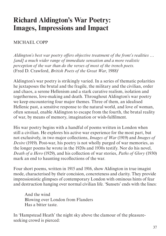# **Richard Aldington's War Poetry: Images, Impressions and Impact**

## MICHAEL COPP

*Aldington's best war poetry offers objective treatment of the front's realities … [and] a much wider range of immediate sensation and a more realistic perception of the war than do the verses of most of the trench poets.* (Fred D. Crawford, *British Poets of the Great War*, 1988)1

Aldington's war poetry is strikingly varied. In a series of thematic polarities he juxtaposes the brutal and the fragile, the military and the civilian, order and chaos, a serene Hellenism and a stark curative realism, isolation and togetherness, love-making and death. Throughout Aldington's war poetry we keep encountering four major themes. Three of them, an idealised Hellenic past, a sensitive response to the natural world, and love of woman, often sensual, enable Aldington to escape from the fourth, the brutal reality of war, by means of memory, imagination or wish-fulfilment.

His war poetry begins with a handful of poems written in London when still a civilian. He explores his active war experience for the most part, but not exclusively, in two major collections, *Images of War* (1919) and *Images of Desire* (1919). Post-war, his poetry is not wholly purged of war memories, as the longer poems he wrote in the 1920s and 1930s testify. Nor do his novel, *Death of a Hero* (1929), and his collection of war stories, *Paths of Glory* (1930) mark an end to haunting recollections of the war.

Four short poems, written in 1915 and 1916, show Aldington in true imagist mode, characterised by their concision, concreteness and clarity. They provide impressionistic glimpses of contemporary London with ominous hints of fear and destruction hanging over normal civilian life. 'Sunsets' ends with the lines:

And the wind Blowing over London from Flanders Has a bitter taste.

In 'Hampstead Heath' the night sky above the clamour of the pleasureseeking crowd is pierced: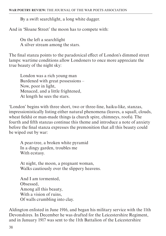By a swift searchlight, a long white dagger.

And in 'Sloane Street' the moon has to compete with:

On the left a searchlight A silver stream among the stars.

The final stanza points to the paradoxical effect of London's dimmed street lamps: wartime conditions allow Londoners to once more appreciate the true beauty of the night sky:

London was a rich young man Burdened with great possessions – Now, poor in light, Menaced, and a little frightened, At length he sees the stars.

'London' begins with three short, two or three-line, haiku-like, stanzas, impressionistically listing either natural phenomena (leaves, a squall, clouds, wheat fields) or man-made things (a church spire, chimneys, roofs). The fourth and fifth stanzas continue this theme and introduce a note of anxiety before the final stanza expresses the premonition that all this beauty could be wiped out by war:

A pear-tree, a broken white pyramid In a dingy garden, troubles me With ecstasy.

At night, the moon, a pregnant woman, Walks cautiously over the slippery heavens.

And I am tormented, Obsessed, Among all this beauty, With a vision of ruins, Of walls crumbling into clay.

Aldington enlisted in June 1916, and began his military service with the 11th Devonshires. In December he was drafted for the Leicestershire Regiment, and in January 1917 was sent to the 11th Battalion of the Leicestershire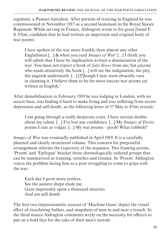regiment, a Pioneer battalion. After periods of training in England he was commissioned in November 1917 as a second lieutenant in the Royal Sussex Regiment. While serving in France, Aldington wrote to his great friend F. S. Flint, confident that he had written an important and original body of war poems:

I *have* spoken of the war more frankly than almost any other Englishman […] & when you read *Images of War*<sup>2</sup> […] I think you will admit that I have by implication written a denunciation of the war. You must not expect a book of *faits divers* from me; but anyone who reads attentively the book [...] will see the indignation, the pity, the anguish underneath. […] [T]hough I may seem absurdly vain in claiming it, I believe them to be the most sincere war poems yet written in English.<sup>3</sup>

After demobilisation in February 1919 he was lodging in London, with no secure base, was finding it hard to make living and was suffering from severe depression and self-doubt, as the following letter of 17 May to Flint reveals:

I am going through a really desperate crisis. I have serious doubts about my talent. […] I've lost any confidence. […] My *Images of Desire*  poems I rate as vulgar. […] My war poems – pooh! What rubbish!4

*Images of War* was eventually published in April 1919. It is a carefully planned and clearly structured volume. This concern for purposeful arrangement informs the trajectory of the sequence. Two framing poems, 'Proem' and 'Epilogue' bracket three chronologically ordered groups that can be summarised as training, trenches and trauma. In 'Proem' Aldington voices the problem facing him as a poet struggling to come to grips with the war:

Each day I grow more restless, See the austere shape elude me, Gaze impotently upon a thousand miseries And am still dumb.

The first two impressionistic stanzas of 'Machine Guns' depict the visual effect of ricocheting bullets, and snapshots of men in and near a trench. In the third stanza Aldington comments wryly on the necessity for officers to put on a bold face for the sake of their men's morale: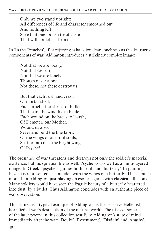Only we two stand upright; All differences of life and character smoothed out And nothing left Save that one foolish tie of caste That will not let us shrink.

In 'In the Trenches', after rejecting exhaustion, fear, loneliness as the destructive components of war, Aldington introduces a strikingly complex image:

Not that we are weary, Not that we fear, Not that we are lonely Though never alone – Not these, not these destroy us.

But that each rush and crash Of mortar shell, Each cruel bitter shriek of bullet That tears the wind like a blade, Each wound on the breast of earth, Of Demeter, our Mother, Wound us also, Sever and rend the fine fabric Of the wings of our frail souls, Scatter into dust the bright wings Of Psyche!

The ordnance of war threatens and destroys not only the soldier's material existence, but his spiritual life as well. Psyche works well as a multi-layered image. In Greek, 'psyche' signifies both 'soul' and 'butterfly'. In painting Psyche is represented as a maiden with the wings of a butterfly. This is much more than Aldington just playing an esoteric game with classical allusions. Many soldiers would have seen the fragile beauty of a butterfly 'scattered into dust' by a bullet. Thus Aldington concludes with an authentic piece of war observation.

This stanza is a typical example of Aldington as the sensitive Hellenist, horrified at war's destruction of the natural world. The titles of some of the later poems in this collection testify to Aldington's state of mind immediately after the war: 'Doubt', 'Resentment', 'Disdain' and 'Apathy'.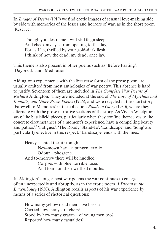In *Images of Desire* (1919) we find erotic images of sensual love-making side by side with memories of the losses and horrors of war, as in the short poem 'Reserve':

Though you desire me I will still feign sleep And check my eyes from opening to the day, For as I lie, thrilled by your gold-dark flesh, I think of how the dead, my dead, once lay.

This theme is also present in other poems such as 'Before Parting', 'Daybreak' and 'Meditation'.

Aldington's experiments with the free verse form of the prose poem are usually omitted from most anthologies of war poetry. This absence is hard to justify. Seventeen of them are included in *The Complete War Poems of Richard* Aldington.5 They are included at the end of *The Love of Myrrhine and Konallis, and Other Prose Poems* (1926), and were recycled in the short story 'Farewell to Memories' in the collection *Roads to Glory* (1930), where they alternate with the prose narrative sections of the story. As Vivien Whelpton says: 'the battlefield pieces, particularly when they confine themselves to the concrete circumstances of a moment's experience, have a compelling beauty and pathos'.6 'Fatigues', 'The Road', 'Stand-To', 'Landscape' and 'Song' are particularly effective in this respect. 'Landscape' ends with the lines:

Heavy scented the air tonight – New-mown hay – a pungent exotic Odour – phosgene… And to-morrow there will be huddled Corpses with blue horrible faces And foam on their writhed mouths.

In Aldington's longer post-war poems the war continues to emerge, often unexpectedly and abruptly, as in the erotic poem *A Dream in the Luxembourg* (1930). Aldington recalls aspects of his war experience by means of a series of rhetorical questions:

How many yellow dead men have I seen? Carried how many stretchers? Stood by how many graves – of young men too? Reported how many casualties?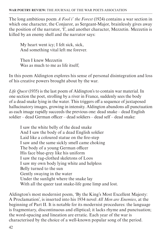The long ambitious poem *A Fool i' the Forest* (1924) contains a war section in which one character, the Conjuror, as Sergeant-Major, brainlessly gives away the position of the narrator, 'I', and another character, Mezzetin. Mezzetin is killed by an enemy shell and the narrator says:

My heart went icy; I felt sick, sick, And something vital left me forever.

Then I knew Mezzetin Was as much to me as life itself:

In this poem Aldington explores his sense of personal disintegration and loss of his creative powers brought about by the war.

*Life Quest* (1935) is the last poem of Aldington's to contain war material. In one section the poet, strolling by a river in France, suddenly sees the body of a dead snake lying in the water. This triggers off a sequence of juxtaposed hallucinatory images, growing in intensity. Aldington abandons all punctuation as each image rapidly succeeds the previous one: dead snake – dead English soldier – dead German officer – dead soldiers – dead self – dead snake:

I saw the white belly of the dead snake And I saw the body of a dead English soldier Laid like a coloured statue on the fire-step I saw and the same sickly smell came choking The body of a young German officer His face blue-grey like his uniform I saw the rag-clothed skeletons of Loos I saw my own body lying white and helpless Belly turned to the sun Gently swaying in the water Under the sunlight where the snake lay With all the queer taut snake-life gone limp and lost.

Aldington's most modernist poem, 'By the King's Most Excellent Majesty: A Proclamation', is inserted into his 1934 novel *All Men are Enemies*, at the beginning of Part II. It is notable for its modernist procedures: the language is fragmentary, discontinuous and elliptical; it lacks rhyme and punctuation; the word-spacing and lineation are erratic. Each year of the war is characterised by the choice of a well-known popular song of the period.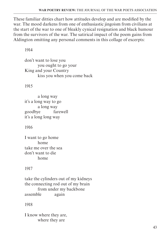These familiar ditties chart how attitudes develop and are modified by the war. The mood darkens from one of enthusiastic jingoism from civilians at the start of the war to one of bleakly cynical resignation and black humour from the survivors of the war. The satirical impact of the poem gains from Aldington omitting any personal comments in this collage of excerpts:

1914

don't want to lose you you ought to go your King and your Country kiss you when you come back

### 1915

 a long way it's a long way to go a long way goodbye farewell it's a long long way

1916

I want to go home home take me over the sea don't want to die home

## 1917

take the cylinders out of my kidneys the connecting rod out of my brain from under my backbone assemble again

## 1918

I know where they are, where they are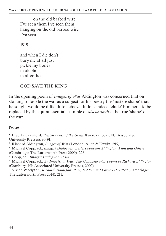on the old barbed wire I've seen them I've seen them hanging on the old barbed wire I've seen

1919

and when I die don't bury me at all just pickle my bones in alcohol in al-co-hol

### GOD SAVE THE KING

In the opening poem of *Images of War* Aldington was concerned that on starting to tackle the war as a subject for his poetry the 'austere shape' that he sought would be difficult to achieve. It does indeed 'elude' him here, to be replaced by this quintessential example of *discontinuity*, the true 'shape' of the war.

### **Notes**

<sup>1</sup> Fred D. Crawford, *British Poets of the Great War* (Cranbury, NJ: Associated University Presses), 90-91.

<sup>2</sup> Richard Aldington, *Images of War* (London: Allen & Unwin 1919).

<sup>3</sup> Michael Copp, ed., *Imagist Dialogues: Letters between Aldington, Flint and Others*  (Cambridge: The Lutterworth Press 2009), 228.

<sup>4</sup> Copp, ed., *Imagist Dialogues*, 253-4.

<sup>5</sup> Michael Copp, ed., *An Imagist at War: The Complete War Poems of Richard Aldington*  (Cranbury, NJ: Associated University Presses, 2002).

<sup>6</sup> Vivien Whelpton, *Richard Aldington: Poet, Soldier and Lover 1911-1929* (Cambridge: The Lutterworth Press 2014), 211.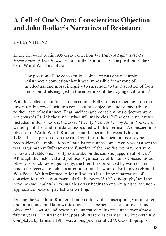# **A Cell of One's Own: Conscientious Objection and John Rodker's Narratives of Resistance**

### EVELYN HEINZ

In the foreword to his 1935 essay collection *We Did Not Fight: 1914-18 Experiences of War Resisters*, Julian Bell summarises the position of the C. O. in World War I as follows:

The position of the conscientious objector was one of simple resistance; a conviction that it was impossible for anyone of intellectual and moral integrity to surrender to the discretion of fools and scoundrels engaged in the enterprise of destroying civilisation.<sup>1</sup>

With his collection of first-hand accounts, Bell's aim is to shed light on the unwritten history of Britain's conscientious objectors and to pay tribute to their acts of resistance: 'That pacifists and conscientious objectors were not cowards I think these narratives will make clear.'2 One of the narratives included in Bell's book is the essay 'Twenty Years After' by John Rodker, a writer, publisher and translator associated with Modernism. A conscientious objector in World War I, Rodker spent the period between 1916 and 1918 either in prison or on the run from the authorities. In his essay he reconsiders the implications of pacifist resistance some twenty years after the war, arguing that '[w]hatever the function of the pacifist, we may rest sure it was a valuable one, if only as a brake on the sadistic juggernaut of war.'3 Although the historical and political significance of Britain's conscientious objectors is acknowledged today, the literature produced by war resisters has so far received much less attention than the work of Britain's celebrated War Poets. With reference to John Rodker's little known narratives of conscientious objection, particularly the poem 'A CO's Biography' and the novel *Memoirs of Other Fronts*, this essay begins to explore a hitherto underappreciated body of pacifist war writing.

During the war, John Rodker attempted to evade conscription, was arrested and imprisoned and later wrote about his experiences as a conscientious objector.4 He wrote and rewrote the narrative of his resistance over almost fifteen years. The first version, possibly started as early as 1917 but certainly completed by January 1918, was a long poem entitled 'A CO's Biography'.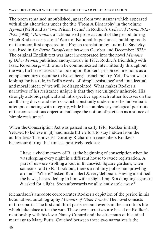The poem remained unpublished, apart from two stanzas which appeared with slight alterations under the title 'From A Biography' in the volume *Hymns* (1920) and as 'Two Prison Poems' in Rodker's *Collected Poems 1912- 1925* (1930).5 *Dartmoor*, a fictionalised prose account of the period during which Rodker carried out 'Work of National Importance', building roads on the moor, first appeared in a French translation by Ludmilla Savitzky, serialised in *La Revue Européenne* between October and December 1923.6 The original English text was later incorporated into the novel *Memoirs of Other Fronts*, published anonymously in 1932. Rodker's friendship with Isaac Rosenberg, with whom he communicated intermittently throughout the war, further entices us to look upon Rodker's prison cell memoirs as a complementary discourse to Rosenberg's trench poetry. Yet, if what we are looking for is a tale, in Bell's words, of 'simple resistance' and 'intellectual and moral integrity' we will be disappointed. What makes Rodker's narratives of his resistance unique is that they are uniquely unheroic. His strongly autobiographical and introspective approach rather focusses on the conflicting drives and desires which constantly undermine the individual's attempts at acting with integrity, while his complex psychological portraits of the conscientious objector challenge the notion of pacifism as a stance of 'simple resistance'.

When the Conscription Act was passed in early 1916, Rodker initially 'refused to believe in [it]' and made little effort to stay hidden from the authorities.7 The novelist Dorothy Richardson remembers Rodker's behaviour during that time as positively reckless:

I have a vivid memory of R. at the beginning of conscription when he was sleeping every night in a different house to evade registration. A part of us were strolling about in Brunswick Square gardens, when someone said to R. 'Look out, there's a military policeman prowling around.' 'Where?' asked R. all alert & very debonair. Having identified the hawk, he strolled up to him with a slight limp  $\&$  a dangling cigarette & asked for a light. Soon afterwards we all silently stole away.8

Richardson's anecdote corroborates Rodker's depiction of the period in his fictionalised autobiography *Memoirs of Other Fronts*. The novel consists of three parts. The first and third parts recount events in the narrator's life which take place after the war. These two narratives are based on Rodker's relationship with his lover Nancy Cunard and the aftermath of his failed marriage to Mary Butts. Couched between these two narratives is the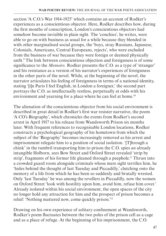section 'A C.O.'s War 1914-1925' which contains an account of Rodker's experiences as a conscientious objector. Here, Rodker describes how, during the first months of conscription, London's conscientious objectors had somehow become invisible in plain sight. The 'conchies', he writes, were able to go on with business as usual for a while because they blended in with other marginalised social groups, the 'boys, stray Russians, Japanese, Colonials, Americans, Central Europeans, rejects', who were excluded from the business of war because they were foreign or deemed physically unfit.<sup>9</sup> The link between conscientious objection and foreignness is of some significance to the *Memoirs.* Rodker presents the C.O. as a type of 'stranger' and his resistance as a version of his narrator's experiences of foreignness in the other parts of the novel. While, at the beginning of the novel, the narrator articulates his feeling of foreignness in terms of a national identity, stating 'filn Paris I feel English, in London a foreigner,' the second part portrays the C.O. as intellectually restless, perpetually at odds with his environment and yearning for a place where he can feel at home.<sup>10</sup>

The alienation of the conscientious objector from his social environment is described in great detail in Rodker's first war resister narrative, the poem 'A CO's Biography', which chronicles the events from Rodker's second arrest in April 1917 to his release from Wandsworth Prison six months later. With frequent references to recognisable London locations, Rodker constructs a psychological geography of his hometown from which the subject of the 'Biography' becomes increasingly removed as his arrest and imprisonment relegate him to a position of social isolation. '[T]hrough a chink' in the tumbril transporting him to prison the C.O. spies an already intangible Holborn, sees Bow Street and Oxford Street revealed 'strip by strip', fragments of his former life gleaned through a peephole.11 Thrust into a crowded guard room alongside criminals whose mere sight terrifies him, he 'hides behind the thought of last Tuesday and Piccadilly,' clutching onto the memory of a life from which he has been so suddenly and brutally wrested. Only 'last Tuesday' he was among the revellers in Piccadilly, now the women on Oxford Street 'look with hostility upon him, avoid him, refuse him cover.' Already isolated within his social environment, the open spaces of the city no longer hold any attraction for him and the prospect of prison becomes a relief: 'Nothing mattered now, come quickly prison.'12

Drawing on his own experience of solitary confinement at Wandsworth, Rodker's poem fluctuates between the two poles of the prison cell as a cage and as a place of refuge. At the beginning of his imprisonment, the C.O.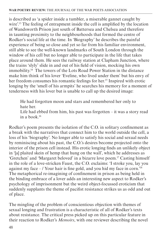is described as 'a spider inside a tumbler, a miserable gannet caught by wire'.13 The feeling of entrapment inside the cell is amplified by the location of Wandsworth Prison just south of Battersea and Chelsea and therefore in taunting proximity to the neighbourhoods that formed the centre of Rodker's social life at the time. In 'Biography' he describes the painful experience of being so close and yet so far from his familiar environment, still able to see the well-known landmarks of South London through the window of his cell but no longer able to participate in the life that takes place around them. He sees the railway station at Clapham Junction, where the trains 'slyly' slide in and out of his field of vision, mocking his own immobility.14 The towers of the Lots Road Power Station in the distance make him think of his lover 'Eveline, who lived under them' but his envy of her freedom consumes his romantic feelings for her.<sup>15</sup> Inspired with erotic longing by the 'smell of his armpits' he searches his memory for a moment of tenderness with his lover but is unable to call up the desired image:

He had forgotten moon and stars and remembered her only to hate her. Life had ebbed from him, his past was forgotten – it was a story read in a book $16$ 

Rodker's poem presents the isolation of the C.O. in solitary confinement as a break with the narratives that connect him to the world outside the cell, a loss of his 'biography'. No longer able to satisfy his social and sexual needs by reminiscing about his past, the C.O.'s desires become projected onto the interior of the prison cell instead. His erotic longing finds an unlikely object in '[a] plaited skein of hemp that hung on the wall', which he addresses as 'Gretchen' and 'Margaret beloved' in a bizarre love poem.17 Casting himself in the role of a love-stricken Faust, the C.O. exclaims: 'I stroke you, lay you against my face  $-$  / Your hair is fine gold, and you hid my face in corn.<sup>18</sup> The metaphorical re-imagining of confinement in prison as being held in the binding embrace of a lover adds an interesting new aspect to Rodker's psychology of imprisonment but the weird object-focussed eroticism that suddenly supplants the theme of pacifist resistance strikes us as odd and out of place.

The mingling of the problem of conscientious objection with themes of sexual longing and frustration is a characteristic of all of Rodker's texts about resistance. The critical press picked up on this particular feature in their reaction to Rodker's *Memoirs*, with one reviewer describing the novel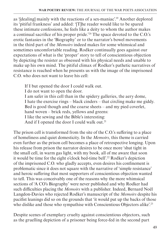as '[dealing] mainly with the reactions of a sex-maniac'.19 Another deplored its 'pitiful frankness' and added: '[T]he reader would like to be spared these intimate confessions, he feels like a deity to whom the author makes a continual sacrifice of his proper pride.'20 The space devoted to the C.O.'s erotic fantasies in the 'Biography' or to the narrator's bowel movements in the third part of the *Memoirs* indeed makes for some whimsical and sometimes uncomfortable reading. Rodker continually goes against our expectations of what is the 'proper' story to tell of conscientious objection by depicting the resister as obsessed with his physical needs and unable to make up his own mind. The pitiful climax of Rodker's pathetic narratives of resistance is reached when he presents us with the image of the imprisoned C.O. who does not want to leave his cell:

If I but opened the door I could walk out.

I do not want to open the door.

I am safer in this cell than in the spidery galleries, the aery dome, I hate the exercise rings – black cinders – that circling make me giddy. Bed is good though and the coarse sheets – and my pied coverlet, hand woven – brick reds, yellows and greens:

I like the sewing and the Bible's interesting:

And if I opened the door I could walk out.<sup>21</sup>

The prison cell is transformed from the site of the C.O.'s suffering to a place of homeliness and quiet domesticity. In the *Memoirs*, this theme is carried even further as the prison cell becomes a place of retrospective longing. Upon his release from prison the narrator desires to be once more 'shut tight in the small cell, in warm gas light, with my book, all of me aware that soon it would be time for the eight o'clock bed-time bell'.22 Rodker's depiction of the imprisoned C.O. who gladly accepts, even desires his confinement is problematic since it does not square with the narrative of 'simple resistance' and heroic suffering that most supporters of conscientious objection wanted to tell. This was conceivably one of the reasons why the more whimsical sections of 'A CO's Biography' were never published and why Rodker had such difficulties placing the *Memoirs* with a publisher. Indeed, Bernard Noël Langdon-Davies who rejected Rodker's manuscript of the *Memoirs* despite his pacifist leanings did so on the grounds that 'it would put up the backs of those who dislike and those who sympathise with Conscientious Objectors alike'.<sup>23</sup>

Despite scenes of exemplary cruelty against conscientious objectors, such as the gruelling depiction of a prisoner being force-fed in the second part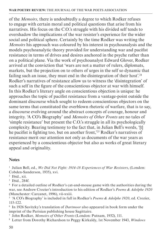of the *Memoirs*, there is undoubtedly a degree to which Rodker refuses to engage with certain moral and political questions that arise from his narratives. His focus on the C.O.'s struggle with his divided self tends to overshadow the implications of the war resister's experience for the wider social and political sphere. Certainly by the time Rodker was writing the *Memoirs* his approach was coloured by his interest in psychoanalysis and the models psychoanalytic theory provided for understanding war and pacifist resistance in terms of drives and desires anchored in the psyche rather than on a political plane. Via the work of psychoanalyst Edward Glover, Rodker arrived at the conviction that 'wars are not a matter of rulers, diplomats, markets, but the projection on to others of urges in the self so dynamic that failing such an issue, they must end in the disintegration of their host'.<sup>24</sup> Rodker's narratives of resistance allow us to witness the 'disintegration' of such a self in the figure of the conscientious objector at war with himself. In this Rodker's literary angle on conscientious objection is unique: he approaches the topic of pacifist resistance from a vantage-point outside the dominant discourse which sought to redeem conscientious objectors on the same terms that constituted the overblown rhetoric of warfare, that is to say, a discourse evolving around the abstract concepts of courage, honour and integrity. 'A CO's Biography' and *Memoirs of Other Fronts* are no tales of 'simple resistance' but present the C.O.'s struggle in all its psychologically complexity. Bearing testimony to the fact that, in Julian Bell's words, '[t] he pacifist is fighting too, but on another front,'25 Rodker's narratives of resistance merit our attention not only as documents of the war years as experienced by a conscientious objector but also as works of great literary appeal and originality.

### **Notes**

<sup>1</sup> Julian Bell, ed., *We Did Not Fight: 1914-18 Experiences of War Resisters*, (London: Cobden-Sanderson, 1935), xvi.

<sup>2</sup> Ibid*.*, xii.

<sup>3</sup> Ibid*.*, 284f.

<sup>4</sup> For a detailed outline of Rodker's cat-and-mouse game with the authorities during the war, see Andrew Crozier's introduction to his edition of Rodker's *Poems & Adolphe 1920*  (Manchester: Carcanet, 1996), vii-xxiii.

<sup>5</sup> 'A CO's Biography' is included in full in Rodker's *Poems & Adolphe 1920*, ed. Crozier, 115-122.

<sup>6</sup> In 1926 Savitzky's translation of *Dartmoor* also appeared in book form under the imprint of the Parisian publishing house Sagittaire.

<sup>7</sup> John Rodker, *Memoirs of Other Fronts* (London: Putnam, 1932), 111.

<sup>8</sup> Letter from Dorothy Richardson to Peggy Kirkaldy, 1st November 1943, *Windows*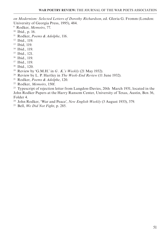*on Modernism: Selected Letters of Dorothy Richardson*, ed. Gloria G. Fromm (London: University of Georgia Press, 1995), 484.

- Rodker, *Memoirs*, 77.
- Ibid*.*, p. 16.
- Rodker, *Poems & Adolphe*, 116.
- Ibid*.*, 119.
- Ibid, 119.
- Ibid*.*, 119.
- Ibid*.*, 121.
- Ibid*.*, 119.
- Ibid*.*, 119.
- Ibid*.*, 120.
- Review by 'G.M.H.' in *G . K.'s Weekly* (21 May 1932).
- Review by L. P. Hartley in *The Week-End Review* (11 June 1932).
- Rodker, *Poems & Adolphe*, 120.
- Rodker, *Memoirs*, 150f.

<sup>23</sup> Typescript of rejection letter from Langdon-Davies, 20th March 1931, located in the John Rodker Papers at the Harry Ransom Center, University of Texas, Austin, Box 36, Folder 4.

- John Rodker, 'War and Peace', *New English Weekly* (3 August 1933), 379.
- Bell, *We Did Not Fight*, p. 285.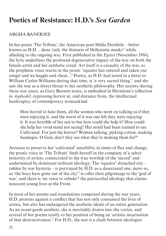# **Poetics of Resistance: H.D.'s** *Sea Garden*

### ARGHA BANERJEE

In her poem 'The Tribute', the American poet Hilda Doolittle – better known as H.D. – dons 'only the thinnest of Hellenistic masks' while alluding to the ongoing war. First published in the *Egoist* (November 1916), the lyric underlines the profound degenerative impact of the war on both the female artist and her aesthetic creed. Art itself is a casualty of the war, as the prophetic voice warns in the poem: 'squalor has entered and taken our songs/ and we haggle and cheat...'2 Poetry, as H.D. had noted in a letter to William Carlos Williams during that time, is 'a very sacred thing',<sup>3</sup> and she saw the war as a direct threat to her aesthetic philosophy. Her anxiety during those war years, as Gary Burnett notes, is embodied in Hermione's reflection in *Asphodel*, expressing horror at, and distance from, the intellectual bankruptcy of contemporary womankind:

How horrid to hate them, all the women who went on talking as if they were enjoying it, and the worst of it was one felt they were enjoying it. It was horrible of her not to but how could she help it? How could she help her vivid mind not seeing? Her mind had been trained to see. Cultivated. For just the horror? Women talking, picking cotton, making bandages. O God, don't they see what they're making them for?4

Anxious to preserve her 'cultivated' sensibility in times of flux and change, the poetic voice in 'The Tribute' finds herself in the company of a select minority of artists, consecrated to the true worship of the 'sacred' and undermined by dominant militant ideology. The 'squalor'-drenched city – ridden by war hysteria – is portrayed by H.D. as a desecrated one, more so, as 'the boys have gone out of the city'<sup>5</sup> to offer their pilgrimage to the 'god of war', and there is 'no voice to rebuke<sup>'6</sup> the patriarchal ideology that claims innocent young lives at the Front.

In most of her poems and translations composed during the war years, H.D. protests against a conflict that has not only consumed the lives of artists, but also has endangered the aesthetic ideals of an entire generation. As an avant-garde aesthete, she is inevitably drawn into the vortex, and several of her poems testify to her position of being an 'artistic incarnation of that destructiveness'.7 For H.D., the war is a clash between ideologies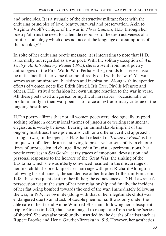and principles. It is a struggle of the destructive militant force with the enduring principles of love, beauty, survival and preservation. Akin to Virginia Woolf's critique of the war in *Three Guineas*, H.D. through her poetry 'affirms the need for a female response to the destructiveness of a militarist ideology which does not accept the language or assumptions of that ideology'.8

In spite of her enduring poetic message, it is interesting to note that H.D. is normally not regarded as a war poet. With the solitary exception of *War Poetry: An Introductory Reader* (1995), she is absent from most poetry anthologies of the First World War. Perhaps the grounds for her exclusion lie in the fact that her verse does not directly deal with the 'war'. Yet war serves as an omnipresent backdrop and inspiration. Along with independent efforts of women poets like Edith Sitwell, Iris Tree, Phyllis M'egroz and others, H.D. strived to fashion her own unique reaction to the war in verse. All these poets used allegorical or mythical narratives – occasionally or predominantly in their war poems – to force an extraordinary critique of the ongoing hostilities.

H.D.'s poetry affirms that not all women poets were ideologically trapped, seeking refuge in conventional themes of jingoism or writing sentimental elegies, as is widely believed. Bearing an unmistakable imprint of the ongoing hostilities, these poems also call for a different critical approach. 'To fight (war) in the open', as H.D. had reflected in *Tribute to Freud*, is the unique war of a female artist, striving to preserve her sensibility in chaotic times of unprecedented change. Rooted in Imagist experimentations, her poetic exercises in *Sea Garden* carry traces of emotional devastation and personal responses to the horrors of the Great War: the sinking of the Lusitania which she was utterly convinced resulted in the miscarriage of her first child; the break-up of her marriage with poet Richard Aldington following his enlistment; the sad demise of her brother Gilbert in France in 1918; the subsequent death of her father; the coincidence of D.H. Lawrence's persecution just at the start of her new relationship and finally, the incident of her flat being bombed towards the end of the war. Immediately following the war, in 1919, her own life (along with that of her illegitimate child) was endangered due to an attack of double pneumonia. It was only under the able care of her friend Annie Winifred Ellerman, following her subsequent trip to Greece in 1920, that she managed to recuperate from the long 'series of shocks'. She was also profoundly unsettled by the deaths of artists such as Rupert Brooke and Henri Gaudier-Brzeska in 1915. However, her aesthetics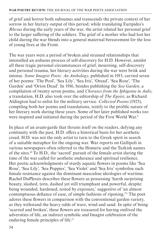of grief and horror both subsumes and transcends the private context of her sorrow in her literary output of this period; while translating Euripides's *Rhesus* during the early years of the war, the artist related her personal grief to the larger suffering of the soldiers. The grief of a mother who had lost her child during the war blends into a general maternal bereavement for the loss of young lives at the Front.

The war years were a period of broken and strained relationships that intensified an arduous process of self-discovery for H.D. However, amidst all these tragic personal circumstances of grief, mourning, self-discovery and personal trauma, her literary activities during the war were brisk and intense. *Some Imagist Poets: An Anthology*, published in 1915, carried seven of her poems: 'The Pool', 'Sea Lily', 'Sea Iris', 'Oread', 'Sea Rose', 'The Garden' and 'Orion Dead'. In 1916, besides publishing the *Sea Garden*, a compilation of twenty seven poems, and *Choruses from the Iphigenia in Aulis*, a translation, H.D. also took over the editorship of *The Egoist*, as Richard Aldington had to enlist for the military service. *Collected Poems* (1925), compiling both her poems and translations, testify to the prolific nature of her literary work during these years. Some of her later published works too were inspired and initiated during the period of the First World War.<sup>9</sup>

In place of an avant-garde that thrusts itself on the readers, defying any continuity with the past, H.D. offers a historical basis for her aesthetic creed. H.D. was not the only artist to turn to the Greek spirit in search of a suitable metaphor for the ongoing war. War reports on Gallipoli in various newspapers often referred to the Homeric and the Turkish names of the sites.10 To H.D., the 'sacred' pursuit of the female artist during the time of the war called for aesthetic endurance and spiritual resilience. Her poetic acknowledgments of sturdy aquatic flowers in poems like 'Sea Rose', 'Sea Lily', 'Sea Poppies', 'Sea Violet' and 'Sea Iris' symbolise such female resistance against the dominant masculine ideologies of wartime. Rachel DuPlessis describes these flowers as possessing 'harsh surprising beauty, slashed, torn, dashed yet still triumphant and powerful, despite being wounded, hardened, tested by exposure,' suggestive of 'an almost contemptuous defiance of ease, of simple fashions of ripening.'11 The poet adores these flowers in comparison with the conventional garden variety, as they withstand the heavy odds of wave, wind and sand. In spite of being 'scarred and broken', these flowers are treasured for having outlived the adversities of life, an indirect symbolic and Imagist celebration of the enduring female principles of life.<sup>12</sup>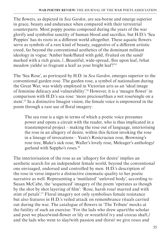The flowers, as depicted in *Sea Garden*, are sea-borne and emerge superior in grace, beauty and endurance when compared with their terrestrial counterparts. Most poppy poems composed during the years of the war glorify and symbolise sanctity of human blood and sacrifice, but H.D.'s 'Sea Poppies' has its roots in a different world altogether. These aquatic flowers serve as symbols of a rare kind of beauty, suggestive of a different artistic creed, far beyond the conventional aesthetics of the dominant militant ideology in vogue: 'Amber husk/fluted with gold, /fruited on the sand/ marked with a rich grain, /...Beautiful, wide-spread, /fire upon leaf, /what meadow yields/ so fragrant a leaf/ as your bright leaf?'13

The 'Sea Rose', as portrayed by H.D. in *Sea Garden*, emerges superior to the conventional garden rose. The garden rose, a symbol of nationalism during the Great War, was widely employed in Victorian arts as an 'ideal image of feminine delicacy and vulnerability'.14 However, it is a 'meagre flower' in comparison with H.D.'s sea rose: 'more precious/than a wet rose/single on a stem'.15 In a distinctive Imagist vision, the female voice is empowered in the poem through a rare use of floral imagery:

The sea rose is a sign in terms of which a poetic voice presumes power and opens a circuit with the reader, who is thus implicated in a transtemporal project – making the rose out of language, interiorising the rose in an allegory of desire, within this fiction invoking the rose in a lineage of invocations – Yeats's Rosicrucian rose, Browning's rose tree, Blake's sick rose, Waller's lovely rose, Meleager's anthology/ garland with Sappho's roses.16

The interiorisation of the rose as an 'allegory for desire' implies an aesthetic search for an independent female world, beyond the conventional one envisaged, endorsed and controlled by men. H.D.'s description of the rose in verse imparts a distinctive cinematic quality to her poetic narrative as well. Representing a 'mutilated' 'unloved body', according to Susan McCabe, the 'sequenced' imagery of the poem 'operates as though by the shot by shot layering of film': 'Rose, harsh rose/ marred and with stint of petals'.17 Floral imagery not only symbolises female resistance but also features in H.D.'s veiled attack on remembrance rituals carried out during the war. The catalogue of flowers in 'The Tribute' mocks at the futility of such an exercise: 'For the lads who drew apart/the scholar and poet we place/wind-flower or lily or wreath/of ivy and crocus shaft,/ and the lads who went to slay/with passion and thirst/ we give roses and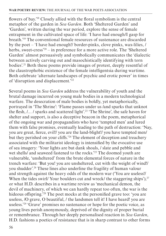flowers of bay.'18 Closely allied with the floral symbolism is the central metaphor of the garden in *Sea Garden*. Both 'Sheltered Garden' and 'Garden', written during the war period, explore the sense of female entrapment in the cultivated space of life: 'I have had enough/I gasp for breath.'19 The conventional female resources of sustenance are discarded by the poet – 'I have had enough!/ border-pinks, clove pinks, wax-lilies, / herbs, sweet-cress<sup>'20</sup> – in preference for a more active role. The 'Sheltered Garden' almost persuasively and symbolically communicates the 'dialectic between actively carving out and masochistically identifying with torn bodies'.21 Both these poems provide images of protest, deeply resentful of the claustrophobic existence of the female intelligentsia during wartime. Both celebrate 'alternate landscapes of psychic and erotic power' in times of 'disruption and displacement.<sup>722</sup>

Several poems in *Sea Garden* address the vulnerability of youth and the brutal damage incurred on young male bodies in a modern technological warfare. The desecration of male bodies is boldly, yet metaphorically, portrayed in 'The Shrine': 'Flame passes under us /and sparks that unknot the flesh, /… / sparks and scattered light'.23 'The Shrine', the safe haven for shelter and support, is also a deceptive beacon in the poem, metaphorical of the ongoing war and propagandists who have 'tempted men' and lured them with false promises, eventually leading to the path of destruction: 'Nay, you are great, fierce, evil!/ you are the land-blight!/ you have tempted men/ but they perished on your cliffs.<sup>'24</sup> The element of deception and treachery associated with the militarist ideology is intensified by the evocative use of sea imagery: 'Your lights are but dank shoals, / slate and pebble and wet shells/ and seaweed fastened to the rocks.<sup>225</sup> The doomed youth are vulnerable, 'unsheltered' from the brute elemental forces of nature in the trench warfare: 'But you! you are unsheltered, cut with the weight of wind!/ you shudder'.26 These lines also underline the fragility of human valour and strength against the heavy odds of the modern war ('You are useless!/ When the tides swirl/ Your boulders cut and wreck/ the staggering ships'), $27$ or what H.D. describes in a wartime review as 'mechanical demon, the devil of machinery, of which we can hardly repeat too often, the war is the hideous offspring.<sup>228</sup> The poet mocks at the personified grave too: 'you are useless, /O grave, O beautiful, / the landsmen tell it! I have heard! you are useless.'29 'Grave' promises no sustenance or hope for the poetic voice, as young lives perish anonymously, deprived of the dignity of proper burial or remembrance. Through her deeply personalised reaction in *Sea Garden*, H.D. fashions a poetics of resistance that is in sharp contrast to other forms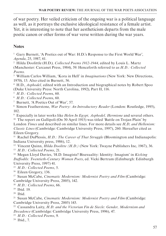of war poetry. Her veiled criticism of the ongoing war is a political language as well, as it portrays the exclusive ideological resistance of a female artist. Yet, it is interesting to note that her aestheticism departs from the male poetic canon or other forms of war verse written during the war years.

### **Notes**

<sup>1</sup> Gary Burnett, 'A Poetics out of War: H.D.'s Response to the First World War', *Agenda*, 25, 1987, 61.

<sup>2</sup> Hilda Doolittle (H.D.)*, Collected Poems 1912-1944*, edited by Louis L. Martz (Manchester: Carcanet Press, 1984), 59. Henceforth referred to as *H.D.: Collected Poems.*

<sup>3</sup> William Carlos William, 'Kora in Hell' in *Imaginations* (New York: New Directions, 1970), 13. Also cited in Burnett, 56.

<sup>4</sup> H.D., *Asphodel,* edited with an Introduction and biographical notes by Robert Spoo (Duke University Press: North Carolina, 1992), Part II, 116.

- <sup>5</sup> *H.D.: Collected Poem*s, 60.
- <sup>6</sup> *H.D.: Collected Poem*s, 60.

<sup>7</sup> Burnett, 'A Poetics Out of War', 57.

<sup>8</sup> Simon Featherstone, *War Poetry: An Introductory Reader* (London: Routledge, 1995), 102.

<sup>9</sup> Especially in later works like *Helen In Egypt, Asphodel, Hermione* and several others.

<sup>10</sup> The report on Gallipoli (On 30 April 1915) was titled 'Battle on Trojan Plain' by London *Times* and described on similar lines. For more details see *H,D, and Hellenism: Classic Lines* (Cambridge: Cambridge University Press, 1997), 260. Hereafter cited as Eileen Gregory.

<sup>11</sup> Rachel DuPlessis, *H.D.: The Career of That Struggle* (Bloomington and Indianapolis: Indiana University press, 1986), 12.

<sup>12</sup> Vincent Quinn, *Hilda Doolitte (H.D.)* (New York: Twayne Publishers Inc, 1967), 36.

<sup>13</sup> *H.D.: Collected Poems*, 21.

<sup>14</sup> Megan Lloyd Davies, 'H.D. Imagiste? Bisexuality: Identity: Imagism' in *Kicking Daffodils: Twentieth-Century Women Poets*, ed. Vicki Bertram (Edinburgh: Edinburgh University Press, 1997) 41.

<sup>15</sup> *H.D.: Collected Poems*, 5.

<sup>16</sup> Eileen Gregory, 136.

<sup>17</sup> Susan McCabe, *Cinematic Modernism: Modernist Poetry and Film* (Cambridge: Cambridge University Press, 2005), 142.

<sup>18</sup> *H.D.: Collected Poems*, 66.

<sup>19</sup> Ibid. 19.

 $20$  Ibid.

<sup>21</sup> Susan McCabe, *Cinematic Modernism: Modernist Poetry and Film* (Cambridge: Cambridge University Press, 2005) 143.

<sup>22</sup> Cassandra Laity, *H.D. and the Victorian Fin de Siecle: Gender, Modernism and Decadence* (Cambridge: Cambridge University Press, 1996), 47.

<sup>23</sup> *H.D.: Collected Poems*, 9.

<sup>24</sup> Ibid., 7.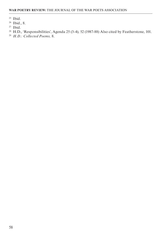- <sup>28</sup> H.D., 'Responsibilities', Agenda 25 (3-4), 52 (1987-88) Also cited by Featherstone, 101.
- *H.D.: Collected Poems,* 8.

Ibid.

Ibid., 8.

Ibid.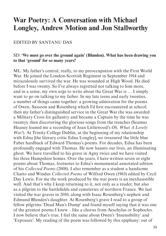# **War Poetry: A Conversation with Michael Longley, Andrew Motion and Jon Stallworthy**

#### EDITED BY SANTANU DAS

#### SD: **'We must go over the ground again' (Blunden). What has been drawing you to that 'ground' for so many years?**

ML: My father's central, really, to my preoccupation with the First World War. He joined the London-Scottish Regiment in September 1914 and miraculously survived the war. He was wounded at High Wood. He died before I was twenty. So I've always regretted not talking to him more, and in a sense, my own urge to write about the Great War is … I simply want to go on talking to my father. In my late teens and early twenties, a number of things came together: a growing admiration for the poems of Owen, Sassoon and Rosenberg which I'd first encountered at school; then my father's distinguished service in the Great War (he was awarded a Military Cross for gallantry and became a Captain by the time he was twenty); then discovering the glorious songs from the trenches (Seamus Heaney loaned me a recording of Joan Littlewood's *Oh, What A Lovely War!*). At Trinity College Dublin, at the beginning of my relationship with Edna *[the literary critic Edna Longley]*, we treasured the little blue Faber hardback of Edward Thomas's poems. For decades, Edna has been profoundly engaged with Thomas. He now haunts our lives, an illuminating ghost. We have travelled to his grave in Agny twice and we have visited his three Hampshire homes. Over the years, I have written seven or eight poems about Thomas, footnotes to Edna's monumental annotated edition of his *Collected Poems* (2008). I also remember as a student a handsome Chatto and Windus *Collected Poems* of Wilfred Owen (1963) edited by Cecil Day Lewis. For me the work produced by the war poets is an inexhaustible well. And that's why I keep returning to it, not only as a reader, but also as a pilgrim to the battlefields and cemeteries of northern France. We last visited the war graves in 2010, along with Isaac Rosenberg's nephew and Edmund Blunden's daughter. At Rosenberg's grave I read to a group of fellow pilgrims 'Dead Man's Dump' and found myself saying that it was one of the greatest poems I knew – like a chorus from Aeschylus or Sophocles. I now believe that's true. I feel the same about Owen's 'Insensibility' and 'Exposure'. My reading of the poem was followed by this epiphany: out of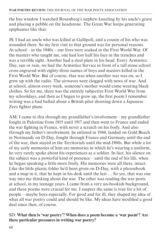the bus window I watched Rosenberg's nephew kneeling by his uncle's grave and placing a pebble on the headstone. The Great War keeps generating epiphanies like that.

JS: I had an uncle who was killed at Gallipoli, and a cousin of his who was wounded there. So my first visit to that ground was for personal reasons. At school – in the 1940s – our lives were soaked in the First World War. Of the masters who taught me, one had lost half his face in the trenches and was a terrible sight. Another had a steel plate in his head. Every Armistice Day, sun or rain, we had the Armistice Service in front of a tall stone school cross engraved with eighty-three names of boys and masters killed in the First World War. But of course, that was when another war was on, so I grew up with the radio. The airwaves were clogged with news of war. And at school, almost every week, someone's mother would come wearing black clothes. So for me, there was the entirely subjective First World War from my schooldays, and then as I began to grow up, the first poem I remember writing was a bad ballad about a British pilot shooting down a Japanese Zero fighter plane.

AM: I came to this through my grandfather's involvement – my grandfather fought in Palestine from 1915 until 1917 and then went to France and ended the war fighting in France, with never a scratch on his body. And also through my father's involvement: he enlisted in 1944, landed on Gold Beach in Normandy on D-Day, fought through France and Germany until the end of the war, then stayed in the Territorials until the mid-1960s. But while a lot of my early memories of him are memories in which he's wearing a uniform, he very rarely spoke about his experiences as a soldier. In fact, his silence on the subject was a powerful kind of presence – until the end of his life, when he began speaking a little more freely. His memories were all there, intact. Like the little plastic folder he'd been given on D-Day, with a phrasebook and a map in it, that he kept in his desk until the last … So yes, that was one way into my thinking about the war. The other was reading the war poets at school, in my teenage years. I came from a very un-bookish background, and these poems were crucial for me. I suspect the same is true for a lot of people – maybe boys especially. For good and for ill, they shaped my idea of what all war poetry could and should be like. My ideas have modified a good deal since then, of course.

## SD: **What then is 'war poetry'? When does a poem become a 'war poem'? Are there particular pressures in writing war poetry?**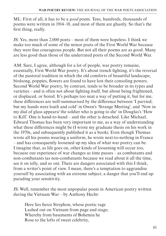ML: First of all, it has to be a *good* poem. Tens, hundreds, thousands of poems were written in 1914–18, and most of them are ghastly. So that's the first thing, really.

JS: Yes, more than 2,000 poets – most of them were hopeless. I think we make too much of some of the minor poets of the First World War because they were fine courageous people. But not all their poems are as good. Many are less good than those of the underrated poets of the Second World War.

AM: Sure, I agree, although for a lot of people, war poetry remains, essentially, First World War poetry. It's about trench fighting, it's the reversal of the pastoral tradition in which the old comforts of beautiful landscape, birdsong, poppies, flowers are found to have lost their consoling powers. Second World War poetry, by contrast, tends to be broader in its types and varieties – and is often not about fighting itself, but about being frightened, or displaced, or bored. It's perhaps too neat a way of putting it, but for me, these differences are well-summarised by the difference between 'I parried; but my hands were loath and cold' in Owen's 'Strange Meeting', and 'Now in my dial of glass appears/ the soldier who is going to die' in Douglas's 'How to Kill'. One is hand-to-hand – and the other is detached. Like Michael, Edward Thomas has been very important to me, as a way of understanding what these differences might be (I wrote my graduate thesis on his work in the 1970s, and subsequently published it as a book). Even though Thomas wrote all his poems wearing a uniform, he wrote next-to-nothing in France – and has consequently loosened up my idea of what war poetry can be. I imagine that, as life goes on, other kinds of loosening will occur too, because our experience of war changes as time passes – as combatants and non-combatants (as non-combatants because we read about it all the time, see it on telly, and so on). There are dangers associated with this I think, from a writer's point of view. I mean, there's a temptation to aggrandise yourself by associating with an extreme subject; a danger that you'll end up parading your sensitivity.

JS: Well, remember the most unpopular poem in American poetry written during the Vietnam War – by Anthony Hecht:

Here lies fierce Strephon, whose poetic rage Lashed out on Vietnam from page and stage; Whereby from basements of Bohemia he Rose to the lofts of sweet celebrity,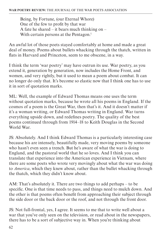Being, by Fortune, (our Eternal Whore) One of the few to profit by that war A fate he shared – it bears much thinking on – With certain persons at the Pentagon.<sup>1</sup>

An awful lot of those poets stayed comfortably at home and made a great deal of money. Poems about bullets whacking through the thatch, written in flats in Harvard and Princeton, seem to me obscene, in a way.

I think the term 'war poetry' may have outrun its use. War poetry, as you extend it, generation by generation, now includes the Home Front, and women, and very rightly, but it used to mean a poem about combat. It can no longer do only that. It's become so elastic now that I think one has to use it in sort of quotation marks.

ML: Well, the example of Edward Thomas means one uses the term without quotation marks, because he wrote all his poems in England. If the cosmos of a poem is the Great War, then that's it. And it doesn't matter if it's a woman writing, or Edward Thomas writing in England. War turns everything upside down, and redefines poetry. The quality of the best poems continued through from 1914–18 to Keith Douglas in the Second World War.

JS: Absolutely. And I think Edward Thomas is a particularly interesting case because his are intensely, beautifully made, very moving poems by someone who hasn't even seen a trench. But he's aware of what the war is doing to England, and the pastoral world that he so loves. And I think you can translate that experience into the American experience in Vietnam, where there are some poets who wrote very movingly about what the war was doing to *America*, which they knew about, rather than the bullet whacking through the thatch, which they didn't know about.

AM: That's absolutely it. There are two things to add perhaps – to be specific. One is that time needs to pass, and things need to mulch down. And the other is that poems often benefit from approaching their subject through the side door or the back door or the roof, and not through the front door.

JS: Not full-frontal, yes, I agree. It seems to me that to write well about a war that you've only seen on the television, or read about in the newspapers, there has to be a sort of subjective way in. When you're thinking about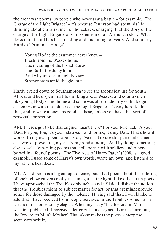the great war poems, by people who never saw a battle – for example, 'The Charge of the Light Brigade' – it's because Tennyson had spent his life thinking about chivalry, men on horseback, charging, that the story of the charge of the Light Brigade was an extension of an Arthurian story. What flows into it is all he's been reading and imagining for years. And similarly, Hardy's 'Drummer Hodge':

Young Hodge the drummer never knew – Fresh from his Wessex home – The meaning of the broad Karoo, The Bush, the dusty loam, And why uprose to nightly view Strange stars amid the gloam.2

Hardy cycled down to Southampton to see the troops leaving for South Africa, and he'd spent his life thinking about Wessex, and countrymen like young Hodge, and home and so he was able to identify with Hodge as Tennyson with the soldiers of the Light Brigade. It's very hard to do that, and to write a poem as good as these, unless you have that sort of personal connection.

AM: There's got to be that engine, hasn't there? For you, Michael, it's your Dad; for you, Jon, it's your relatives – and for me, it's my Dad. That's how it works. In my own poems about war, I've tried to use this personal element as a way of preventing myself from grandstanding. And by doing something else as well. By writing poems that collaborate with soldiers and others; by writing 'found' poems. 'The Five Acts of Harry Patch' (2008) is a good example. I used some of Harry's own words, wrote my own, and listened to my father's heartbeat.

ML: A bad poem is a big enough offence, but a bad poem about the suffering of one's fellow citizens really is a sin against the light. Like other Irish poets I have approached the Troubles obliquely – and still do. I dislike the notion that the Troubles might be subject matter for art, or that art might provide solace for those damaged by the violence. Having said that, I would like to add that I have received from people bereaved in the Troubles some warm letters in response to my elegies. When my elegy 'The Ice-cream Man' was first published, I received a letter of thanks signed 'Loretta Larmour, the Ice-cream Man's Mother'. That alone makes the poetic enterprise seem worthwhile.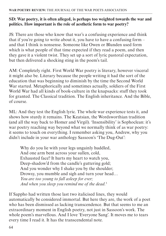### **SD: War poetry, it is often alleged, is perhaps too weighted towards the war and politics. How important is the role of aesthetic form to war poetry?**

JS: There are those who know that war's a confusing experience and think that if you're going to write about it, you have to have a confusing form  $$ and that I think is nonsense. Someone like Owen or Blunden used form which is what people of that time expected if they read a poem, and then they gave it a violent twist. They set up a sort of lyric pastoral expectation, but then delivered a shocking sting in the poem's tail.

AM: Completely right. First World War poetry is literary, however visceral it might also be. Literary because the people writing it had the sort of the education that was beginning to diminish by the time the Second World War started. Metaphorically and sometimes actually, soldiers of the First World War had all kinds of book-culture in the knapsacks: stuff they took for granted. The Classical tradition. The English inheritance. And the Bible, of course.

ML: And they test the English lyric. The whole war experience tests it, and shows how sturdy it remains. The Keatsian, the Wordsworthian tradition (and all the way back to Homer and Virgil). 'Insensibility' is Sophoclean: it's war poetry reaching way beyond what we normally think of as war poetry: it seems to touch on everything. I remember asking you, Andrew, why you didn't include in your war anthology Sassoon's 'The Dug-Out':

Why do you lie with your legs ungainly huddled, And one arm bent across your sullen, cold, Exhausted face? It hurts my heart to watch you, Deep-shadow'd from the candle's guttering gold; And you wonder why I shake you by the shoulder; Drowsy, you mumble and sigh and turn your head… *You are too young to fall asleep for ever; And when you sleep you remind me of the dead.*<sup>3</sup>

If Sappho had written those last two italicised lines, they would automatically be considered immortal. But here they are, the work of a poet who has been dismissed as lacking transcendence. But that seems to me an extraordinary moment in English poetry, not just in Sassoon's work. The whole poem's marvellous. And I love 'Everyone Sang'. It moves me to tears every time I read it. It has the transcendental note.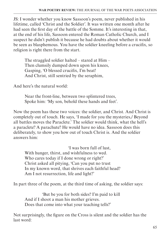JS: I wonder whether you know Sassoon's poem, never published in his lifetime, called 'Christ and the Soldier'. It was written one month after he had seen the first day of the battle of the Somme. It's interesting in that, at the end of his life, Sassoon entered the Roman Catholic Church, and I suspect he didn't publish it because he had doubts about whether it would be seen as blasphemous. You have the soldier kneeling before a crucifix, so religion is right there from the start.

The straggled soldier halted – stared at Him – Then clumsily dumped down upon his knees, Gasping, 'O blessed crucifix, I'm beat! And Christ, still sentried by the seraphim,

And here's the natural world:

Near the front-line, between two splintered trees, Spoke him: 'My son, behold these hands and feet'.

Now the poem has these two voices: the soldier, and Christ. And Christ is completely out of touch. He says, 'I made for you the mysteries,/ Beyond all battles moves the Paraclete.' The soldier would think, what the hell's a paraclete? A parachute? He would have no idea. Sassoon does this deliberately, to show you how out of touch Christ is. And the soldier answers him:

 'I was born full of lust, With hunger, thirst, and wishfulness to wed. Who cares today if I done wrong or right?' Christ asked all pitying, 'Can you put no trust In my known word, that shrives each faithful head? Am I not resurrection, life and light?'

In part three of the poem, at the third time of asking, the soldier says:

 'But be you for both sides? I'm paid to kill And if I shoot a man his mother grieves. Does that come into what your teaching tells?'

Not surprisingly, the figure on the Cross is silent and the soldier has the last word: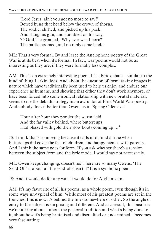'Lord Jesus, ain't you got no more to say?' Bowed hung that head below the crown of thorns. The soldier shifted, and picked up his pack, And slung his gun, and stumbled on his way. 'O God,' he groaned, 'Why ever was I born?' The battle boomed, and no reply came back.<sup>4</sup>

ML: That's very formal. By and large the Anglophone poetry of the Great War is at its best when it's formal. In fact, war poems would not be as interesting as they are, if they were formally less complex.

AM: This is an extremely interesting poem. It's a lyric debate – similar to the kind of thing Larkin does. And about the question of form: taking images in nature which have traditionally been used to help us enjoy and endure our experience as humans, and showing that either they don't work anymore, or have been forced into some ironical relationship with new brutal material, seems to me the default strategy in an awful lot of First World War poetry. And nobody does it better than Owen, as in 'Spring Offensive':

Hour after hour they ponder the warm field And the far valley behind, where buttercups Had blessed with gold their slow boots coming up ...<sup>5</sup>

JS: I think that's so moving because it calls into mind a time when buttercups did cover the feet of children, and happy picnics with parents. And I think the same goes for form. If you ask whether there's a tension between the subject form and the lyric mode, I would say not necessarily.

ML: Owen keeps changing, doesn't he? There are so many Owens. 'The Send-Off' is about all the send-offs, isn't it? It is a symbolic poem.

JS: And it would do for any war. It would do for Afghanistan.

AM: It's my favourite of all his poems, as a whole poem, even though it's in some ways un-typical of him. While most of his greatest poems are set in the trenches, this is not: it's behind the lines somewhere or other. So the angle of entry to the subject is surprising and different. And as a result, this business we're talking about – about the pastoral tradition and what's being done to it, about how it's being brutalised and discredited or undermined – becomes very fascinating: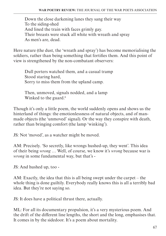Down the close darkening lanes they sang their way To the siding-shed And lined the train with faces grimly gay. Their breasts were stuck all white with wreath and spray As men's are, dead.

Here nature (the dust, the 'wreath and spray') has become memorialising the soldiers, rather than being something that fortifies them. And this point of view is strengthened by the non-combatant observers:

Dull porters watched them, and a casual tramp Stood staring hard, Sorry to miss them from the upland camp.

Then, unmoved, signals nodded, and a lamp Winked to the guard.<sup>6</sup>

Though it's only a little poem, the world suddenly opens and shows us the hinterland of things: the emotionlessness of natural objects, and of manmade objects (the 'unmoved' signal). Or the way they conspire with death, rather than bringing comfort (the lamp 'winking').

JS: Not 'moved', as a watcher might be moved.

AM: Precisely. 'So secretly, like wrongs hushed-up, they went'. This idea of their being *wrong* … Well, of course, we know it's *wrong* because war is *wrong* in some fundamental way, but that's -

JS: And hushed up, too -

AM: Exactly, the idea that this is all being swept under the carpet – the whole thing is done guiltily. Everybody really knows this is all a terribly bad idea. But they're not saying so.

JS: It does have a political thrust there, actually.

ML: For all its documentary propulsion, it's a very mysterious poem. And the drift of the different line lengths, the short and the long, emphasises that. It comes in by the sidedoor. It's a poem about mortality.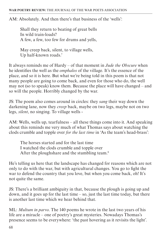AM: Absolutely. And then there's that business of the 'wells':

Shall they return to beating of great bells In wild train-loads? A few, a few, too few for drums and yells,

May creep back, silent, to village wells, Up half-known roads.<sup>7</sup>

It always reminds me of Hardy – of that moment in *Jude the Obscure* when he identifies the well as the *omphalos* of the village. It's the essence of the place, and so it is here. But what we're being told in this poem is that not many people are going to come back, and even for those who do, the well may not (so to speak) know them. Because the place will have changed – and so will the people. Horribly changed by the war.

JS: The poem also comes around in circles: they *sang* their way down the darkening lane, now they *creep* back, maybe on two legs, maybe not on two legs, *silent*, no singing. To village wells -

AM: Wells, wells up, tearfulness – all these things come into it. And speaking about this reminds me very much of what Thomas says about watching the clods crumble and topple over *for the last time* in 'As the team's head-brass':

The horses started and for the last time I watched the clods crumble and topple over After the ploughshare and the stumbling team.<sup>8</sup>

He's telling us here that the landscape has changed for reasons which are not only to do with the war, but with agricultural changes. You go to fight the war to defend the country that you love, but when you come back, oh! It's not quite the same.

JS: There's a brilliant ambiguity in that, because the plough is going up and down, and it goes up for the last time – so, just the last time today, but there is another last time which we hear behind that.

ML: *Multum in parvo*. The 140 poems he wrote in the last two years of his life are a miracle – one of poetry's great mysteries. Nowadays Thomas's presence seems to be everywhere: 'the past hovering as it revisits the light'.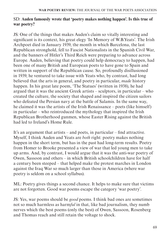#### SD: **Auden famously wrote that 'poetry makes nothing happen'. Is this true of war poetry?**

JS: One of the things that makes Auden's claim so vitally interesting and significant is its context, his great elegy 'In Memory of W.B.Yeats'. The Irish Archpoet died in January 1939, the month in which Barcelona, the last Republican stronghold, fell to Fascist Nationalists in the Spanish Civil War, and the banners of Hitler's Third Reich were preparing to advance across Europe. Auden, believing that poetry could help democracy to happen, had been one of many British and European poets to have gone to Spain and written in support of the Republican cause. So, profoundly disillusioned in 1939, he ventured to take issue with Yeats who, by contrast, had long believed that the arts in general, and poetry in particular, *made* history happen. In his great late poem, 'The Statues' (written in 1938), he had argued that it was the ancient Greek artists – sculptors, in particular – who created the culture, the society that shaped and inspired the citizen sailors who defeated the Persian navy at the battle of Salamis. In the same way, he claimed it was the artists of the Irish Renaissance – poets (like himself) in particular – who reintroduced the mythology that inspired the Irish Republican Brotherhood gunmen, whose Easter Rising against the British had led to Ireland's Home Rule.

It's an argument that artists – and poets, in particular – find attractive. Myself, I think Auden and Yeats are *both* right: poetry makes nothing happen in the short term, but has in the past had long-term results. Poetry from Homer to Brooke presented a view of war that led young men to take up arms. And, by contrast, I would argue that it was the anti-war poetry of Owen, Sassoon and others – in which British schoolchildren have for half a century been steeped – that helped make the protest marches in London against the Iraq War so much larger than those in America (where war poetry is seldom on a school syllabus).

ML: Poetry gives things a second chance. It helps to make sure that victims are not forgotten. Good war poems escape the category 'war poetry'.

JS: Yes, war poems should be *good* poems. I think bad ones are sometimes not so much harmless as harm*ful* in that, like bad journalism, they numb nerves which the best poems (only the best) of Owen, Sassoon, Rosenberg and Thomas reach and still retain the voltage to shock.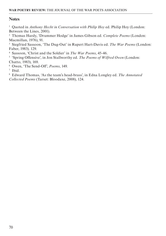#### **Notes**

<sup>1</sup> Quoted in *Anthony Hecht in Conversation with Philip Hoy* ed. Philip Hoy (London: Between the Lines, 2001).

<sup>2</sup> Thomas Hardy, 'Drummer Hodge' in James Gibson ed. *Complete Poems* (London: Macmillan, 1976), 91.

<sup>3</sup> Siegfried Sassoon, 'The Dug-Out' in Rupert Hart-Davis ed. *The War Poems* (London: Faber, 1983)*,* 129.

<sup>4</sup> Sassoon, 'Christ and the Soldier' in *The War Poems*, 45-46.

<sup>5</sup> 'Spring Offensive', in Jon Stallworthy ed. *The Poems of Wilfred Owen* (London: Chatto, 1983), 169.

<sup>6</sup> Owen, 'The Send-Off', *Poems*, 149.

<sup>7</sup> Ibid.

<sup>8</sup> Edward Thomas, 'As the team's head-brass', in Edna Longley ed. *The Annotated Collected Poems* (Tarset: Bloodaxe, 2008), 124.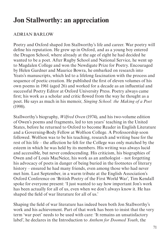## **Jon Stallworthy: an appreciation**

## ADRIAN BARLOW

Poetry and Oxford shaped Jon Stallworthy's life and career. War poetry will define his reputation. He grew up in Oxford, and as a young boy entered the Dragon School, where already at the age of eight he had decided he wanted to be a poet. After Rugby School and National Service, he went up to Magdalen College and won the Newdigate Prize for Poetry. Encouraged by Helen Gardner and Maurice Bowra, he embarked on research into Yeats's manuscripts, which led to a lifelong fascination with the process and sequence of poetic creation. He published the first of eleven volumes of his own poems in 1961 (aged 26) and worked for a decade as an influential and successful Poetry Editor at Oxford University Press. Poetry always came first; his work as a scholar and critic flowed from the way he thought as a poet. He says as much in his memoir, *Singing School: the Making of a Poet* (1998).

Stallworthy's biography, *Wilfred Owen* (1974), and his two-volume edition of Owen's poems and fragments, led to ten years' teaching in the United States, before he returned to Oxford to become Reader in English Literature and a Governing-Body Fellow at Wolfson College. A Professorship soon followed. Wolfson was to be his teaching, research and writing base for the rest of his life – the affection he felt for the College was only matched by the esteem in which he was held by its members. His writing was always lucid and accessible, but never condescending. His criticism, his biographies of Owen and of Louis MacNeice, his work as an anthologist – not forgetting his advocacy of poets in danger of being buried in the footnotes of literary history – ensured he had many friends, even among those who had never met him. Last September, in a warm tribute at the English Association's Oxford Conference on 'British Poetry of the First World War', Tim Kendall spoke for everyone present: 'I just wanted to say how important Jon's work has been actually for all of us, even when we don't always know it. He has shaped the field of war literature for all of us.'

Shaping the field of war literature has indeed been both Jon Stallworthy's work and his achievement. Part of that work has been to insist that the very term 'war poet' needs to be used with care: 'It remains an unsatisfactory label', he declares in the Introduction to *Anthem for Doomed Youth*, the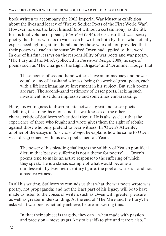book written to accompany the 2002 Imperial War Museum exhibition about the lives and legacy of 'Twelve Soldier Poets of the First World War'. However, he uses the label himself (not without a certain irony) as the title for his final volume of poems, *War Poet* (2014). He is clear that war poetry – poetry that bears witness to war – can be written both by those who actually experienced fighting at first hand and by those who did not, provided that their poetry is 'true' in the sense Wilfred Owen had applied to that word. In one of his final essays on the responsibility of war poets and war poetry, 'The Fury and the Mire', (collected in *Survivors' Songs,* 2008) he says of poems such as 'The Charge of the Light Brigade' and 'Drummer Hodge' that

These poems of second-hand witness have an immediacy and power equal to any of first-hand witness, being the work of great poets, each with a lifelong imaginative investment in his subject. But such poems are rare. The second-hand testimony of lesser poets, lacking such investment, is seldom impressive and sometimes embarrassing.

Here, his willingness to discriminate between great and lesser poets - defining the strengths of one and the weaknesses of the other - is characteristic of Stallworthy's critical rigour. He is always clear that the experience of those who fought and wrote gives them the right of rebuke against those who only pretend to bear witness. In 'Owen's Afterlife', another of the essays in *Survivors' Songs*, he explains how he came to Owen via a disagreement with his own poetic mentor, Yeats:

The power of his pleading challenges the validity of Yeats's pontifical dictum that 'passive suffering is not a theme for poetry' …. Owen's poems tend to make an active response to the suffering of which they speak. He is a classic example of what would become a quintessentially twentieth-century figure: the poet as witness – and not a passive witness.

In all his writing, Stallworthy reminds us that what the war poets wrote was poetry, not propaganda; and not the least part of his legacy will be to have made us listen to the voices of writers such as Owen with greater pleasure as well as greater understanding. At the end of *'*The Mire and the Fury', he asks what war poems actually achieve, before answering thus:

In that their subject is tragedy, they can – when made with passion and precision – move us (as Aristotle said) to pity and terror; also, I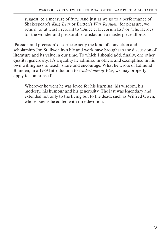suggest, to a measure of fury. And just as we go to a performance of Shakespeare's *King Lear* or Britten's *War Requiem* for pleasure, we return (or at least I return) to 'Dulce et Decorum Est' or 'The Heroes' for the wonder and pleasurable satisfaction a masterpiece affords.

'Passion and precision' describe exactly the kind of conviction and scholarship Jon Stallworthy's life and work have brought to the discussion of literature and its value in our time. To which I should add, finally, one other quality: generosity. It's a quality he admired in others and exemplified in his own willingness to teach, share and encourage. What he wrote of Edmund Blunden, in a 1989 Introduction to *Undertones of War*, we may properly apply to Jon himself:

Wherever he went he was loved for his learning, his wisdom, his modesty, his humour and his generosity. The last was legendary and extended not only to the living but to the dead, such as Wilfred Owen, whose poems he edited with rare devotion.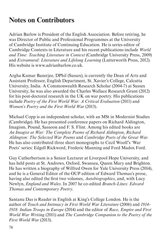## **Notes on Contributors**

Adrian Barlow is President of the English Association. Before retiring, he was Director of Public and Professional Programmes at the University of Cambridge Institute of Continuing Education. He is series editor of Cambridge Contexts in Literature and his recent publications include *World and Time: Teaching Literature in Context* (Cambridge University Press, 2009) and *Extramural: Literature and Lifelong Learning* (Lutterworth Press, 2012). His website is www.adrianbarlow.co.uk.

Argha Kumar Banerjee, DPhil (Sussex), is currently the Dean of Arts and Assistant Professor, English Department, St. Xavier's College, Calcutta University, India. A Commonwealth Research Scholar (2004-7) at Sussex University, he was also awarded the Charles Wallace Research Grant (2012) for his post-doctoral research in the UK on war poetry. His publications include *Poetry of the First World War: A Critical Evaluation* (2011) and *Women's Poetry and the First World War* (2013).

Michael Copp is an independent scholar, with an MSt in Modernist Studies (Cambridge). He has presented conference papers on Richard Aldington, Imagism, Pound, Sassoon and F. S. Flint. Among his edited books are *An Imagist at War: The Complete Poems of Richard Aldington*, *Richard Aldington: The Selected War Poems* and *Cambridge Poets of the Great War*. He has also contributed three short monographs to Cecil Woolf's 'War Poets' series: Edgell Rickword, Frederic Manning and Ford Madox Ford.

Guy Cutherbertson is a Senior Lecturer at Liverpool Hope University, and has held posts at St. Andrews, Oxford, Swansea, Queen Mary and Brighton. He has written a biography of Wilfred Owen for Yale University Press (2014), and he is a General Editor of the OUP edition of Edward Thomas's prose, having also edited the first two volumes, *Autobiographies*, and, with Lucy Newlyn, *England and Wales*. In 2007 he co-edited *Branch-Lines: Edward Thomas and Contemporary Poetry*.

Santanu Das is Reader in English at King's College London. He is the author of *Touch and Intimacy in First World War Literature* (2006) and *1914- 1918: Indian Troops in Europe* (2014) and the editor of *Race, Empire and First World War Writing* (2011) and *The Cambridge Companion to the Poetry of the First World War* (2013).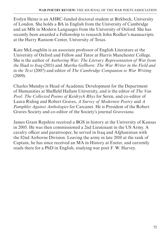Evelyn Heinz is an AHRC-funded doctoral student at Birkbeck, University of London. She holds a BA in English from the University of Cambridge and an MSt in Modern Languages from the University of Oxford. She has recently been awarded a Fellowship to research John Rodker's manuscripts at the Harry Ransom Center, University of Texas.

Kate McLoughlin is an associate professor of English Literature at the University of Oxford and Fellow and Tutor at Harris Manchester College. She is the author of *Authoring War: The Literary Representation of War from the* Iliad *to Iraq* (2011) and *Martha Gellhorn: The War Writer in the Field and in the Text* (2007) and editor of *The Cambridge Companion to War Writing*  (2009).

Charles Mundye is Head of Academic Development for the Department of Humanities at Sheffield Hallam University, and is the editor of *The Van Pool: The Collected Poems of Keidrych Rhys* for Seren, and co-editor of Laura Riding and Robert Graves, *A Survey of Modernist Poetry* and *A Pamphlet Against Anthologies* for Carcanet. He is President of the Robert Graves Society and co-editor of the Society's journal *Gravesiana*.

James Grant Repshire received a BGS in history at the University of Kansas in 2005. He was then commissioned a 2nd Lieutenant in the US Army. A cavalry officer and paratrooper, he served in Iraq and Afghanistan with the 82nd Airborne Division. Leaving the army in late 2010 at the rank of Captain, he has since received an MA in History at Exeter, and currently reads there for a PhD in English, studying war poet F. W. Harvey.